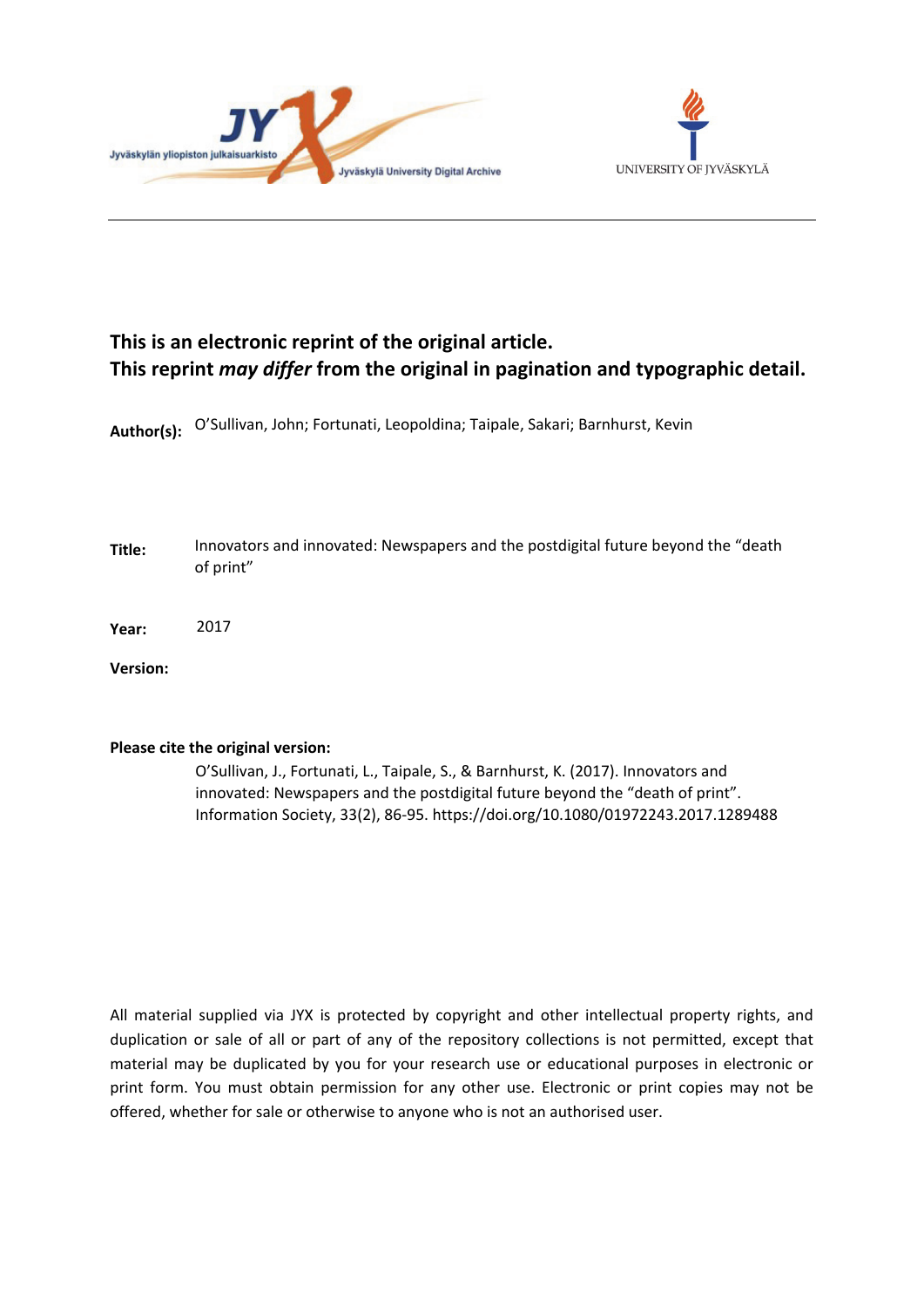



# **This is an electronic reprint of the original article. This reprint** *may differ* **from the original in pagination and typographic detail.**

**Author(s):**  O'Sullivan, John; Fortunati, Leopoldina; Taipale, Sakari; Barnhurst, Kevin

- **Title:** Innovators and innovated: Newspapers and the postdigital future beyond the "death of print"
- **Year:**  2017

**Version:**

# **Please cite the original version:**

O'Sullivan, J., Fortunati, L., Taipale, S., & Barnhurst, K. (2017). Innovators and innovated: Newspapers and the postdigital future beyond the "death of print". Information Society, 33(2), 86-95. https://doi.org/10.1080/01972243.2017.1289488

All material supplied via JYX is protected by copyright and other intellectual property rights, and duplication or sale of all or part of any of the repository collections is not permitted, except that material may be duplicated by you for your research use or educational purposes in electronic or print form. You must obtain permission for any other use. Electronic or print copies may not be offered, whether for sale or otherwise to anyone who is not an authorised user.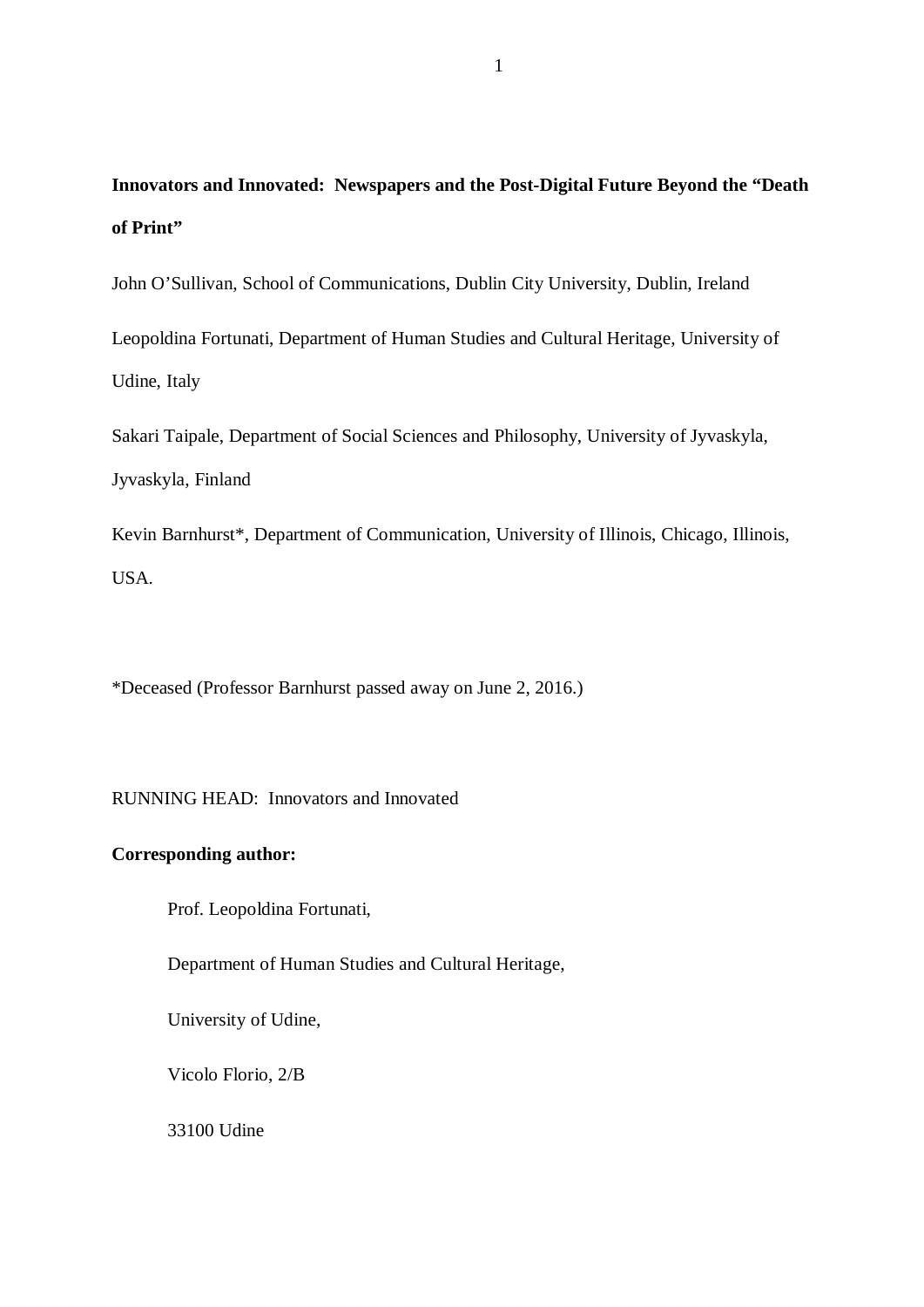# **Innovators and Innovated: Newspapers and the Post-Digital Future Beyond the "Death of Print"**

John O'Sullivan, School of Communications, Dublin City University, Dublin, Ireland

Leopoldina Fortunati, Department of Human Studies and Cultural Heritage, University of Udine, Italy

Sakari Taipale, Department of Social Sciences and Philosophy, University of Jyvaskyla, Jyvaskyla, Finland

Kevin Barnhurst\*, Department of Communication, University of Illinois, Chicago, Illinois, USA.

\*Deceased (Professor Barnhurst passed away on June 2, 2016.)

RUNNING HEAD: Innovators and Innovated

# **Corresponding author:**

Prof. Leopoldina Fortunati,

Department of Human Studies and Cultural Heritage,

University of Udine,

Vicolo Florio, 2/B

33100 Udine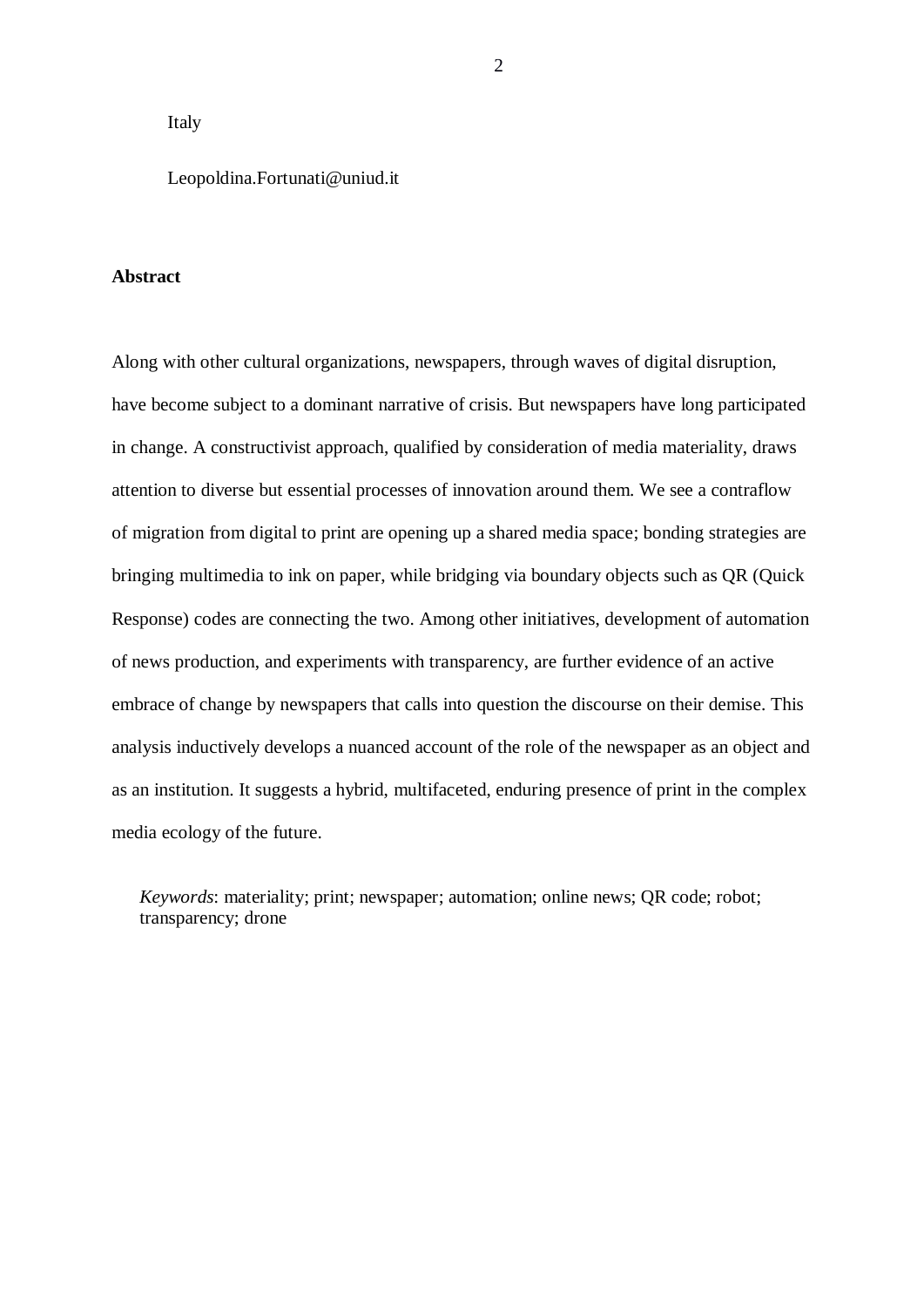# Italy

# Leopoldina.Fortunati@uniud.it

## **Abstract**

Along with other cultural organizations, newspapers, through waves of digital disruption, have become subject to a dominant narrative of crisis. But newspapers have long participated in change. A constructivist approach, qualified by consideration of media materiality, draws attention to diverse but essential processes of innovation around them. We see a contraflow of migration from digital to print are opening up a shared media space; bonding strategies are bringing multimedia to ink on paper, while bridging via boundary objects such as QR (Quick Response) codes are connecting the two. Among other initiatives, development of automation of news production, and experiments with transparency, are further evidence of an active embrace of change by newspapers that calls into question the discourse on their demise. This analysis inductively develops a nuanced account of the role of the newspaper as an object and as an institution. It suggests a hybrid, multifaceted, enduring presence of print in the complex media ecology of the future.

*Keywords*: materiality; print; newspaper; automation; online news; QR code; robot; transparency; drone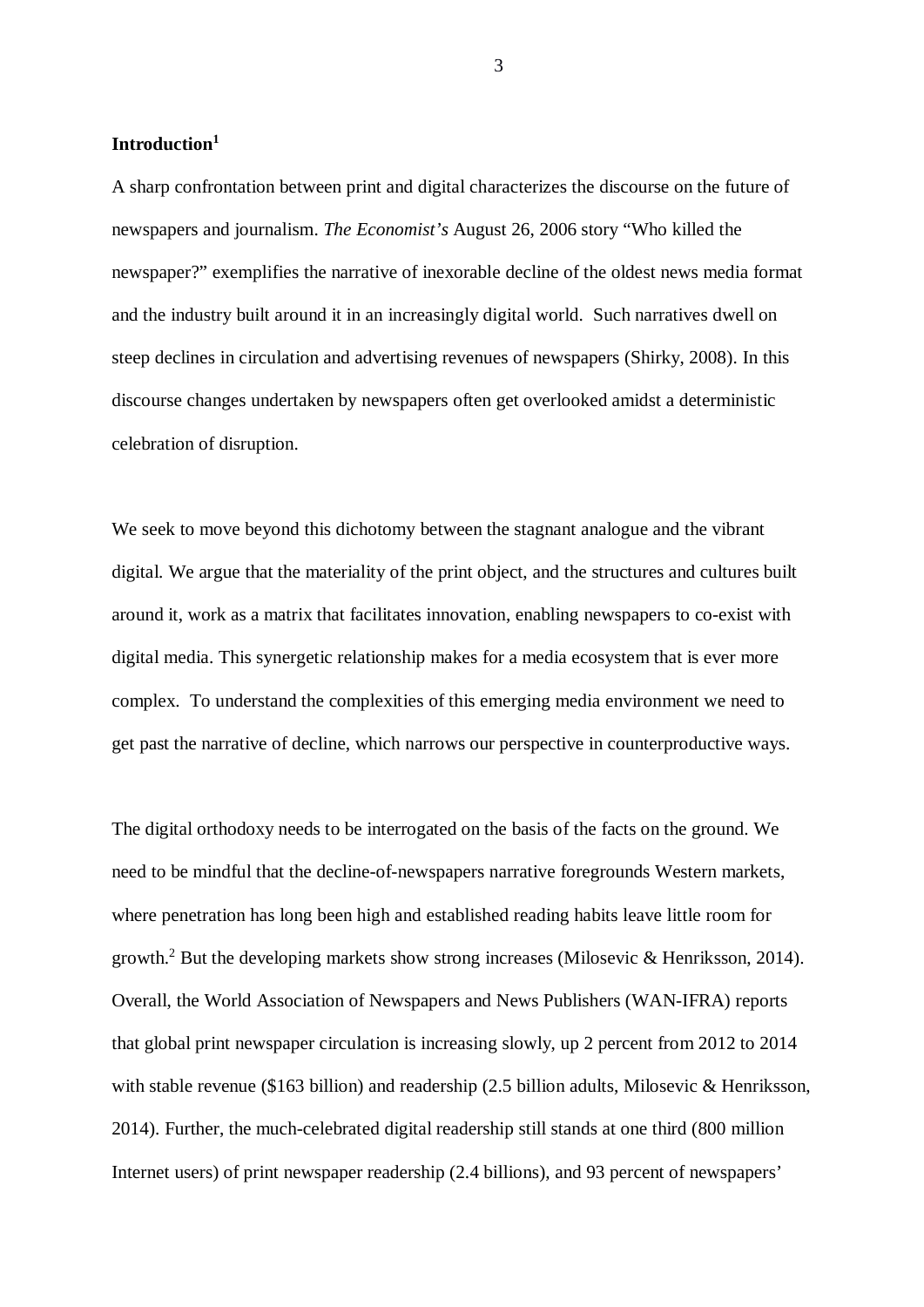# **Introduction<sup>1</sup>**

A sharp confrontation between print and digital characterizes the discourse on the future of newspapers and journalism. *The Economist's* August 26, 2006 story "Who killed the newspaper?" exemplifies the narrative of inexorable decline of the oldest news media format and the industry built around it in an increasingly digital world. Such narratives dwell on steep declines in circulation and advertising revenues of newspapers (Shirky, 2008). In this discourse changes undertaken by newspapers often get overlooked amidst a deterministic celebration of disruption.

We seek to move beyond this dichotomy between the stagnant analogue and the vibrant digital. We argue that the materiality of the print object, and the structures and cultures built around it, work as a matrix that facilitates innovation, enabling newspapers to co-exist with digital media. This synergetic relationship makes for a media ecosystem that is ever more complex. To understand the complexities of this emerging media environment we need to get past the narrative of decline, which narrows our perspective in counterproductive ways.

The digital orthodoxy needs to be interrogated on the basis of the facts on the ground. We need to be mindful that the decline-of-newspapers narrative foregrounds Western markets, where penetration has long been high and established reading habits leave little room for growth.<sup>2</sup> But the developing markets show strong increases (Milosevic & Henriksson, 2014). Overall, the World Association of Newspapers and News Publishers (WAN-IFRA) reports that global print newspaper circulation is increasing slowly, up 2 percent from 2012 to 2014 with stable revenue (\$163 billion) and readership (2.5 billion adults, Milosevic & Henriksson, 2014). Further, the much-celebrated digital readership still stands at one third (800 million Internet users) of print newspaper readership (2.4 billions), and 93 percent of newspapers'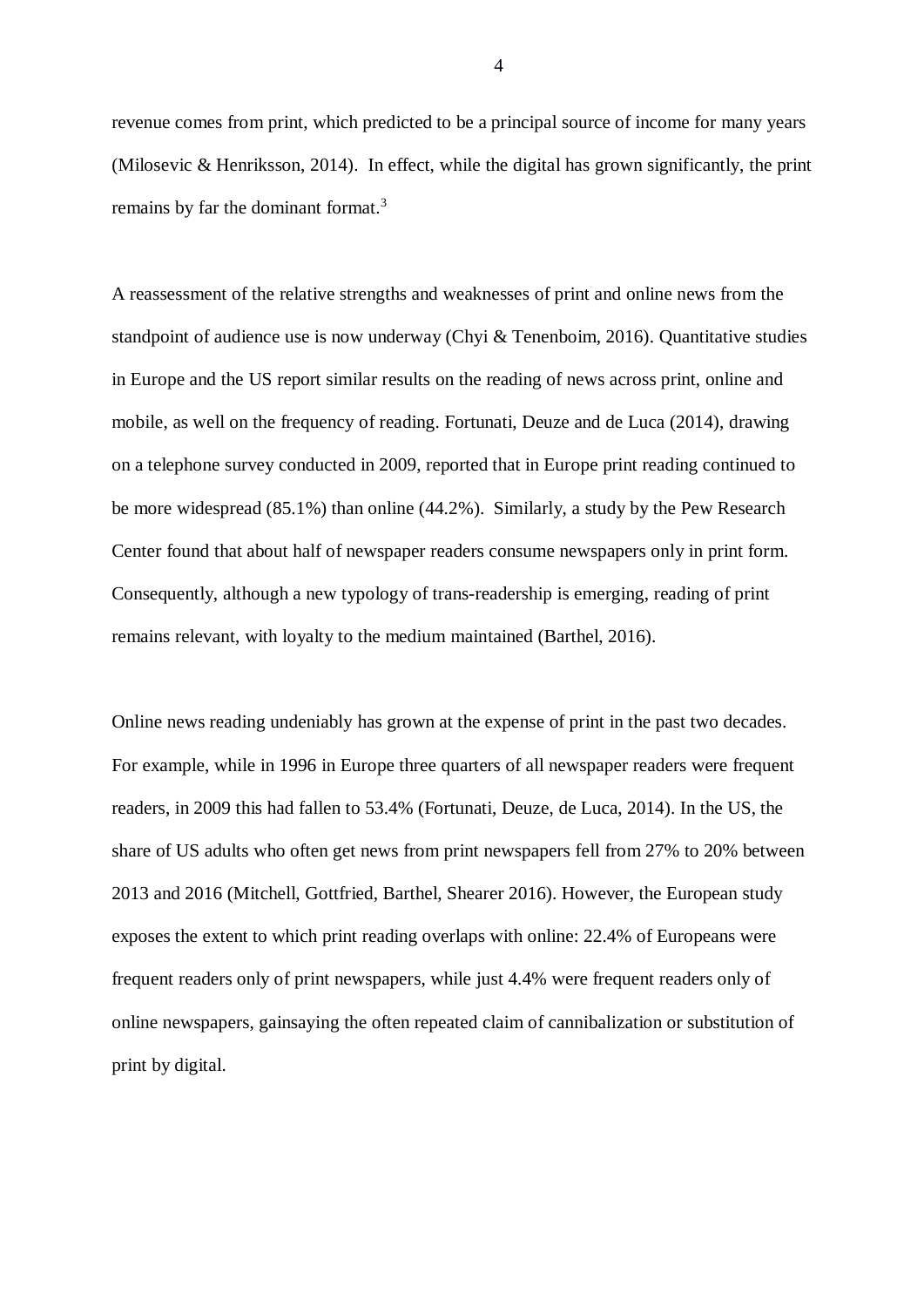revenue comes from print, which predicted to be a principal source of income for many years (Milosevic & Henriksson, 2014). In effect, while the digital has grown significantly, the print remains by far the dominant format.<sup>3</sup>

A reassessment of the relative strengths and weaknesses of print and online news from the standpoint of audience use is now underway (Chyi & Tenenboim, 2016). Quantitative studies in Europe and the US report similar results on the reading of news across print, online and mobile, as well on the frequency of reading. Fortunati, Deuze and de Luca (2014), drawing on a telephone survey conducted in 2009, reported that in Europe print reading continued to be more widespread (85.1%) than online (44.2%). Similarly, a study by the Pew Research Center found that about half of newspaper readers consume newspapers only in print form. Consequently, although a new typology of trans-readership is emerging, reading of print remains relevant, with loyalty to the medium maintained (Barthel, 2016).

Online news reading undeniably has grown at the expense of print in the past two decades. For example, while in 1996 in Europe three quarters of all newspaper readers were frequent readers, in 2009 this had fallen to 53.4% (Fortunati, Deuze, de Luca, 2014). In the US, the share of US adults who often get news from print newspapers fell from 27% to 20% between 2013 and 2016 (Mitchell, Gottfried, Barthel, Shearer 2016). However, the European study exposes the extent to which print reading overlaps with online: 22.4% of Europeans were frequent readers only of print newspapers, while just 4.4% were frequent readers only of online newspapers, gainsaying the often repeated claim of cannibalization or substitution of print by digital.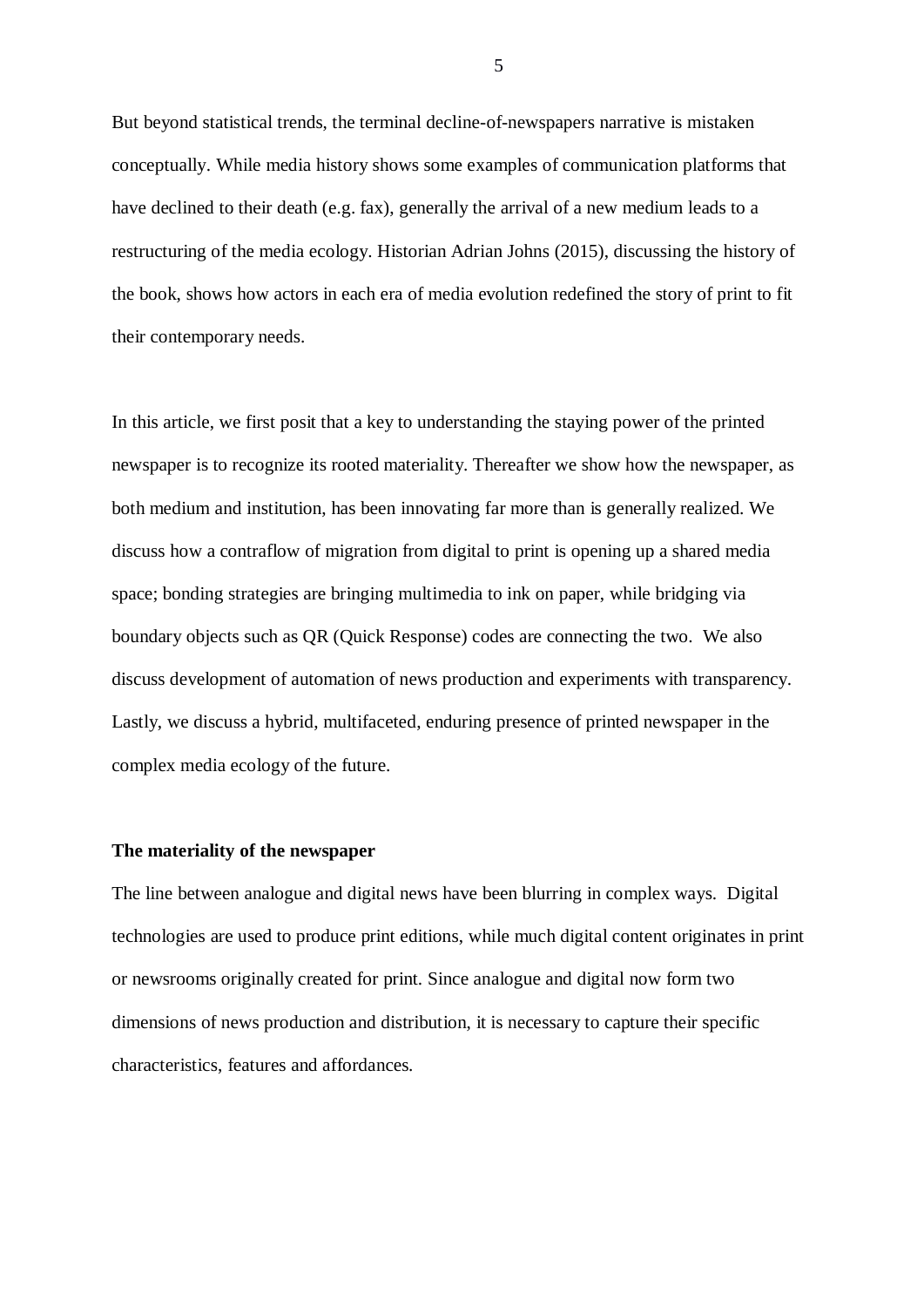But beyond statistical trends, the terminal decline-of-newspapers narrative is mistaken conceptually. While media history shows some examples of communication platforms that have declined to their death (e.g. fax), generally the arrival of a new medium leads to a restructuring of the media ecology. Historian Adrian Johns (2015), discussing the history of the book, shows how actors in each era of media evolution redefined the story of print to fit their contemporary needs.

In this article, we first posit that a key to understanding the staying power of the printed newspaper is to recognize its rooted materiality. Thereafter we show how the newspaper, as both medium and institution, has been innovating far more than is generally realized. We discuss how a contraflow of migration from digital to print is opening up a shared media space; bonding strategies are bringing multimedia to ink on paper, while bridging via boundary objects such as QR (Quick Response) codes are connecting the two. We also discuss development of automation of news production and experiments with transparency. Lastly, we discuss a hybrid, multifaceted, enduring presence of printed newspaper in the complex media ecology of the future.

# **The materiality of the newspaper**

The line between analogue and digital news have been blurring in complex ways. Digital technologies are used to produce print editions, while much digital content originates in print or newsrooms originally created for print. Since analogue and digital now form two dimensions of news production and distribution, it is necessary to capture their specific characteristics, features and affordances.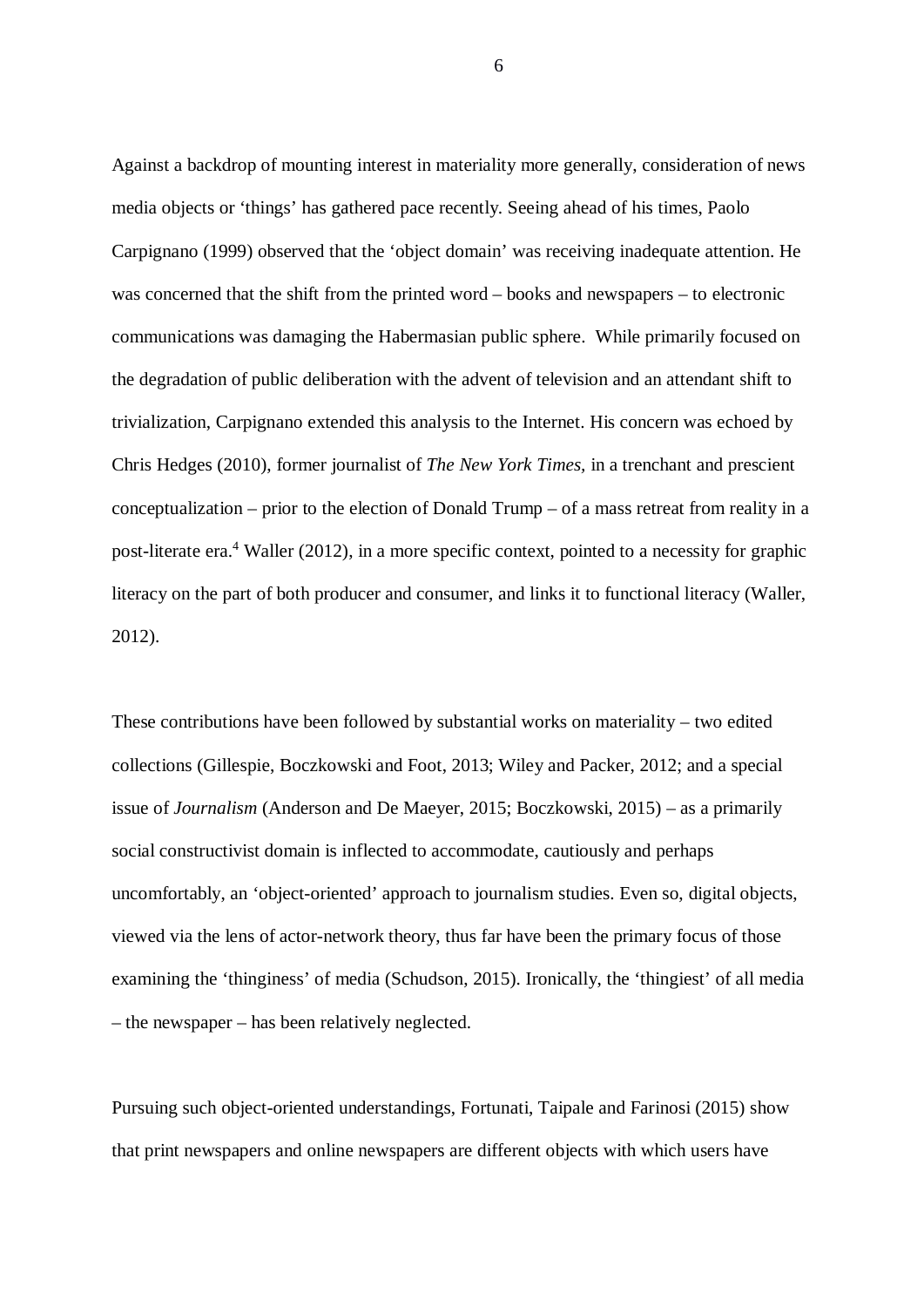Against a backdrop of mounting interest in materiality more generally, consideration of news media objects or 'things' has gathered pace recently. Seeing ahead of his times, Paolo Carpignano (1999) observed that the 'object domain' was receiving inadequate attention. He was concerned that the shift from the printed word – books and newspapers – to electronic communications was damaging the Habermasian public sphere. While primarily focused on the degradation of public deliberation with the advent of television and an attendant shift to trivialization, Carpignano extended this analysis to the Internet. His concern was echoed by Chris Hedges (2010), former journalist of *The New York Times,* in a trenchant and prescient conceptualization – prior to the election of Donald Trump – of a mass retreat from reality in a post-literate era.<sup>4</sup> Waller (2012), in a more specific context, pointed to a necessity for graphic literacy on the part of both producer and consumer, and links it to functional literacy (Waller, 2012).

These contributions have been followed by substantial works on materiality – two edited collections (Gillespie, Boczkowski and Foot, 2013; Wiley and Packer, 2012; and a special issue of *Journalism* (Anderson and De Maeyer, 2015; Boczkowski, 2015) – as a primarily social constructivist domain is inflected to accommodate, cautiously and perhaps uncomfortably, an 'object-oriented' approach to journalism studies. Even so, digital objects, viewed via the lens of actor-network theory, thus far have been the primary focus of those examining the 'thinginess' of media (Schudson, 2015). Ironically, the 'thingiest' of all media – the newspaper – has been relatively neglected.

Pursuing such object-oriented understandings, Fortunati, Taipale and Farinosi (2015) show that print newspapers and online newspapers are different objects with which users have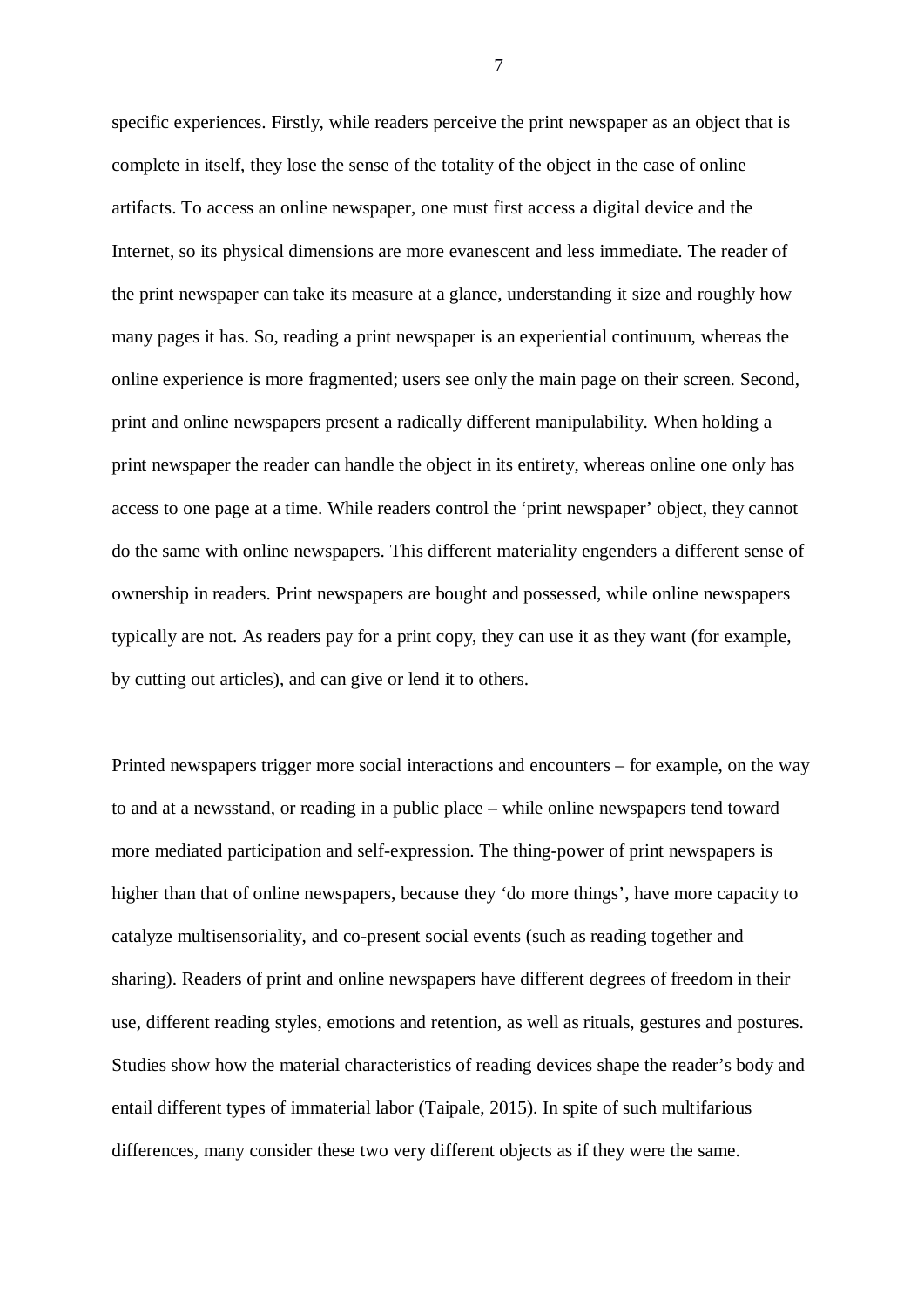specific experiences. Firstly, while readers perceive the print newspaper as an object that is complete in itself, they lose the sense of the totality of the object in the case of online artifacts. To access an online newspaper, one must first access a digital device and the Internet, so its physical dimensions are more evanescent and less immediate. The reader of the print newspaper can take its measure at a glance, understanding it size and roughly how many pages it has. So, reading a print newspaper is an experiential continuum, whereas the online experience is more fragmented; users see only the main page on their screen. Second, print and online newspapers present a radically different manipulability. When holding a print newspaper the reader can handle the object in its entirety, whereas online one only has access to one page at a time. While readers control the 'print newspaper' object, they cannot do the same with online newspapers. This different materiality engenders a different sense of ownership in readers. Print newspapers are bought and possessed, while online newspapers typically are not. As readers pay for a print copy, they can use it as they want (for example, by cutting out articles), and can give or lend it to others.

Printed newspapers trigger more social interactions and encounters – for example, on the way to and at a newsstand, or reading in a public place – while online newspapers tend toward more mediated participation and self-expression. The thing-power of print newspapers is higher than that of online newspapers, because they 'do more things', have more capacity to catalyze multisensoriality, and co-present social events (such as reading together and sharing). Readers of print and online newspapers have different degrees of freedom in their use, different reading styles, emotions and retention, as well as rituals, gestures and postures. Studies show how the material characteristics of reading devices shape the reader's body and entail different types of immaterial labor (Taipale, 2015). In spite of such multifarious differences, many consider these two very different objects as if they were the same.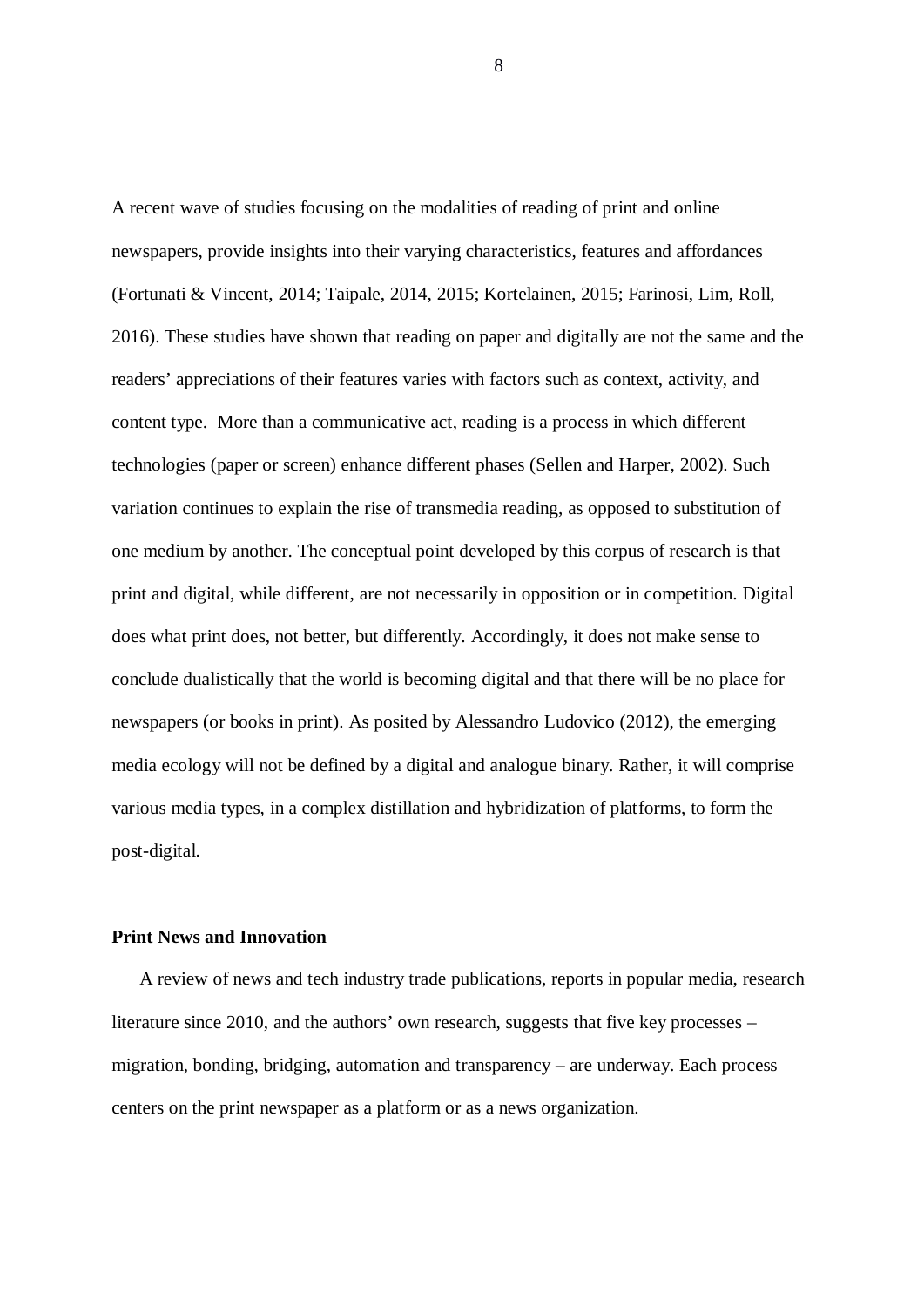A recent wave of studies focusing on the modalities of reading of print and online newspapers, provide insights into their varying characteristics, features and affordances (Fortunati & Vincent, 2014; Taipale, 2014, 2015; Kortelainen, 2015; Farinosi, Lim, Roll, 2016). These studies have shown that reading on paper and digitally are not the same and the readers' appreciations of their features varies with factors such as context, activity, and content type. More than a communicative act, reading is a process in which different technologies (paper or screen) enhance different phases (Sellen and Harper, 2002). Such variation continues to explain the rise of transmedia reading, as opposed to substitution of one medium by another. The conceptual point developed by this corpus of research is that print and digital, while different, are not necessarily in opposition or in competition. Digital does what print does, not better, but differently. Accordingly, it does not make sense to conclude dualistically that the world is becoming digital and that there will be no place for newspapers (or books in print). As posited by Alessandro Ludovico (2012), the emerging media ecology will not be defined by a digital and analogue binary. Rather, it will comprise various media types, in a complex distillation and hybridization of platforms, to form the post-digital.

#### **Print News and Innovation**

 A review of news and tech industry trade publications, reports in popular media, research literature since 2010, and the authors' own research, suggests that five key processes – migration, bonding, bridging, automation and transparency – are underway. Each process centers on the print newspaper as a platform or as a news organization.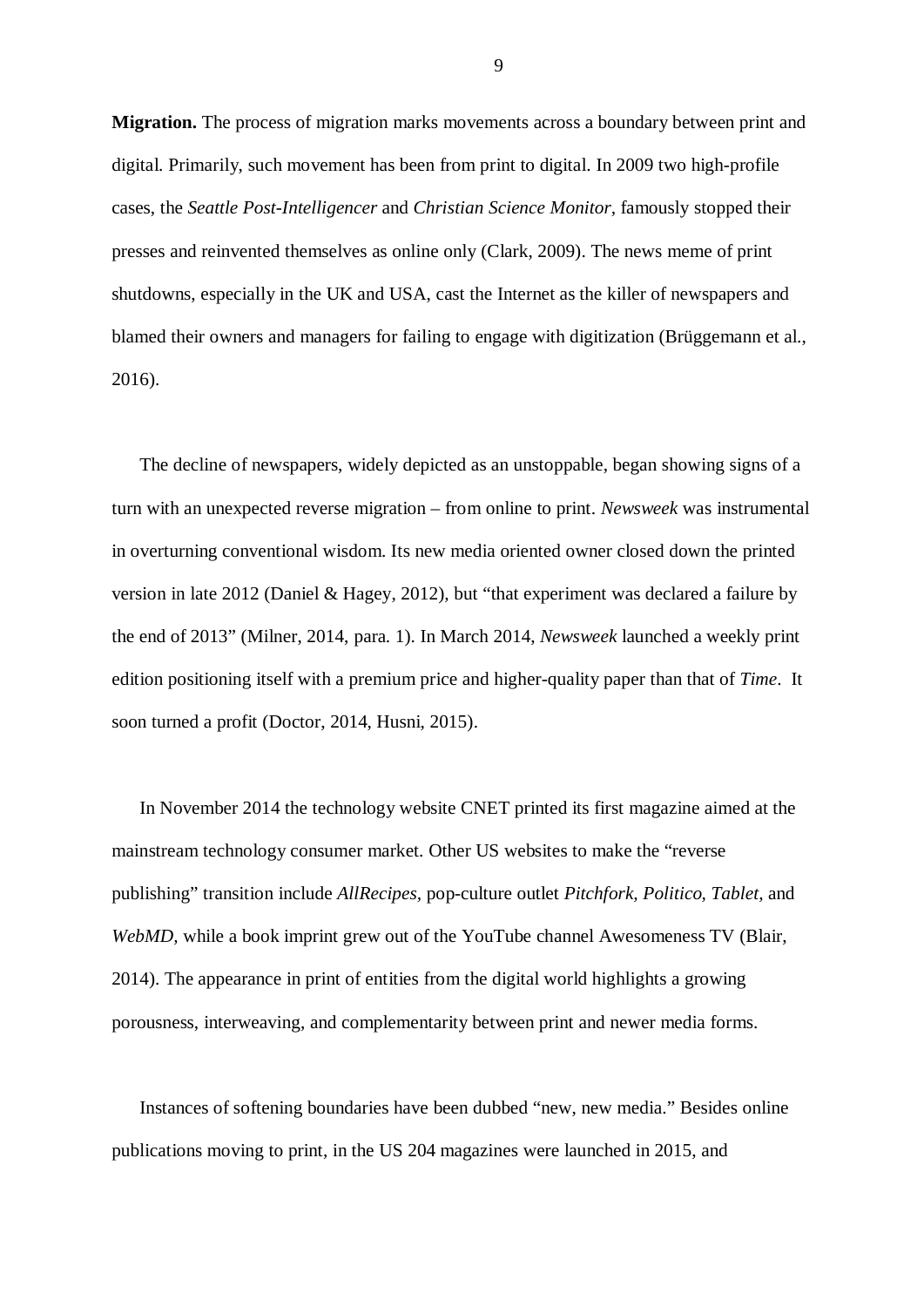**Migration.** The process of migration marks movements across a boundary between print and digital. Primarily, such movement has been from print to digital. In 2009 two high-profile cases, the *Seattle Post-Intelligencer* and *Christian Science Monitor,* famously stopped their presses and reinvented themselves as online only (Clark, 2009). The news meme of print shutdowns, especially in the UK and USA, cast the Internet as the killer of newspapers and blamed their owners and managers for failing to engage with digitization (Brüggemann et al., 2016).

 The decline of newspapers, widely depicted as an unstoppable, began showing signs of a turn with an unexpected reverse migration – from online to print. *Newsweek* was instrumental in overturning conventional wisdom. Its new media oriented owner closed down the printed version in late 2012 (Daniel & Hagey, 2012), but "that experiment was declared a failure by the end of 2013" (Milner, 2014, para. 1). In March 2014, *Newsweek* launched a weekly print edition positioning itself with a premium price and higher-quality paper than that of *Time*. It soon turned a profit (Doctor, 2014, Husni, 2015).

 In November 2014 the technology website CNET printed its first magazine aimed at the mainstream technology consumer market. Other US websites to make the "reverse publishing" transition include *AllRecipes,* pop-culture outlet *Pitchfork, Politico, Tablet,* and *WebMD,* while a book imprint grew out of the YouTube channel Awesomeness TV (Blair, 2014). The appearance in print of entities from the digital world highlights a growing porousness, interweaving, and complementarity between print and newer media forms.

 Instances of softening boundaries have been dubbed "new, new media." Besides online publications moving to print, in the US 204 magazines were launched in 2015, and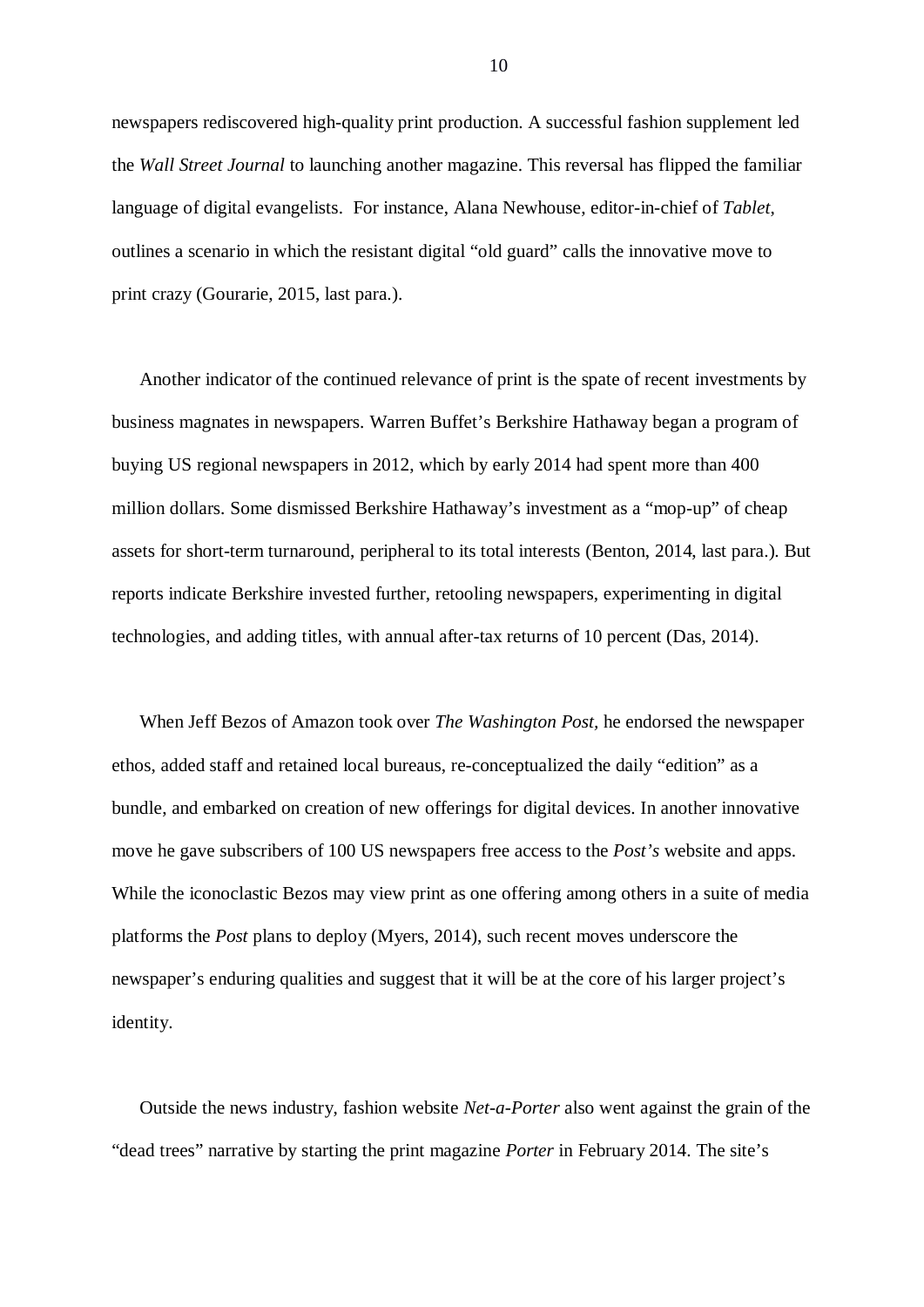newspapers rediscovered high-quality print production. A successful fashion supplement led the *Wall Street Journal* to launching another magazine. This reversal has flipped the familiar language of digital evangelists. For instance, Alana Newhouse, editor-in-chief of *Tablet*, outlines a scenario in which the resistant digital "old guard" calls the innovative move to print crazy (Gourarie, 2015, last para.).

 Another indicator of the continued relevance of print is the spate of recent investments by business magnates in newspapers. Warren Buffet's Berkshire Hathaway began a program of buying US regional newspapers in 2012, which by early 2014 had spent more than 400 million dollars. Some dismissed Berkshire Hathaway's investment as a "mop-up" of cheap assets for short-term turnaround, peripheral to its total interests (Benton, 2014, last para.). But reports indicate Berkshire invested further, retooling newspapers, experimenting in digital technologies, and adding titles, with annual after-tax returns of 10 percent (Das, 2014).

 When Jeff Bezos of Amazon took over *The Washington Post,* he endorsed the newspaper ethos, added staff and retained local bureaus, re-conceptualized the daily "edition" as a bundle, and embarked on creation of new offerings for digital devices. In another innovative move he gave subscribers of 100 US newspapers free access to the *Post's* website and apps. While the iconoclastic Bezos may view print as one offering among others in a suite of media platforms the *Post* plans to deploy (Myers, 2014), such recent moves underscore the newspaper's enduring qualities and suggest that it will be at the core of his larger project's identity.

 Outside the news industry, fashion website *Net-a-Porter* also went against the grain of the "dead trees" narrative by starting the print magazine *Porter* in February 2014. The site's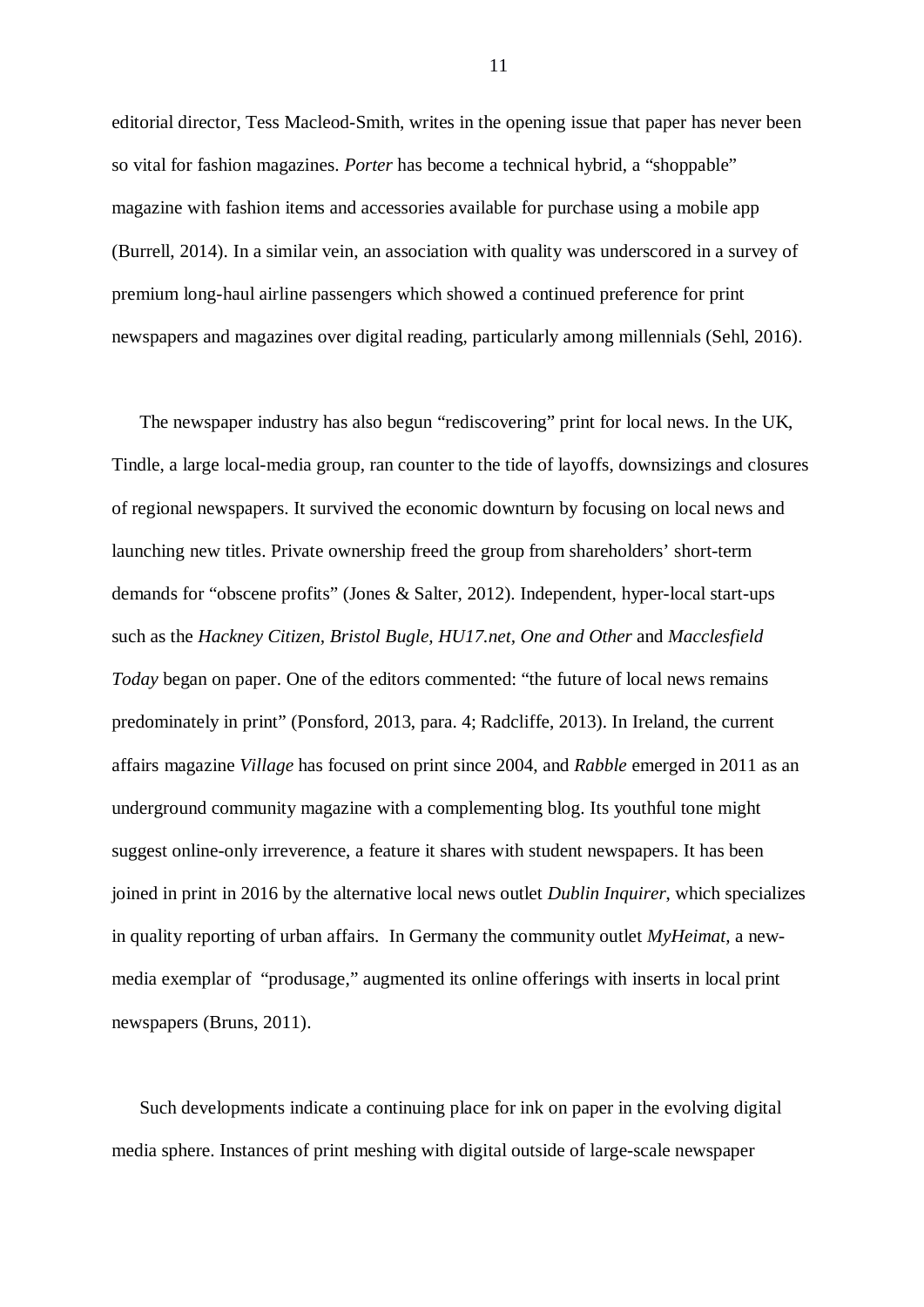editorial director, Tess Macleod-Smith, writes in the opening issue that paper has never been so vital for fashion magazines. *Porter* has become a technical hybrid, a "shoppable" magazine with fashion items and accessories available for purchase using a mobile app (Burrell, 2014). In a similar vein, an association with quality was underscored in a survey of premium long-haul airline passengers which showed a continued preference for print newspapers and magazines over digital reading, particularly among millennials (Sehl, 2016).

 The newspaper industry has also begun "rediscovering" print for local news. In the UK, Tindle, a large local-media group, ran counter to the tide of layoffs, downsizings and closures of regional newspapers. It survived the economic downturn by focusing on local news and launching new titles. Private ownership freed the group from shareholders' short-term demands for "obscene profits" (Jones & Salter, 2012). Independent, hyper-local start-ups such as the *Hackney Citizen, Bristol Bugle, HU17.net, One and Other* and *Macclesfield Today* began on paper. One of the editors commented: "the future of local news remains predominately in print" (Ponsford, 2013, para. 4; Radcliffe, 2013). In Ireland, the current affairs magazine *Village* has focused on print since 2004, and *Rabble* emerged in 2011 as an underground community magazine with a complementing blog. Its youthful tone might suggest online-only irreverence, a feature it shares with student newspapers. It has been joined in print in 2016 by the alternative local news outlet *Dublin Inquirer*, which specializes in quality reporting of urban affairs. In Germany the community outlet *MyHeimat,* a newmedia exemplar of "produsage," augmented its online offerings with inserts in local print newspapers (Bruns, 2011).

 Such developments indicate a continuing place for ink on paper in the evolving digital media sphere. Instances of print meshing with digital outside of large-scale newspaper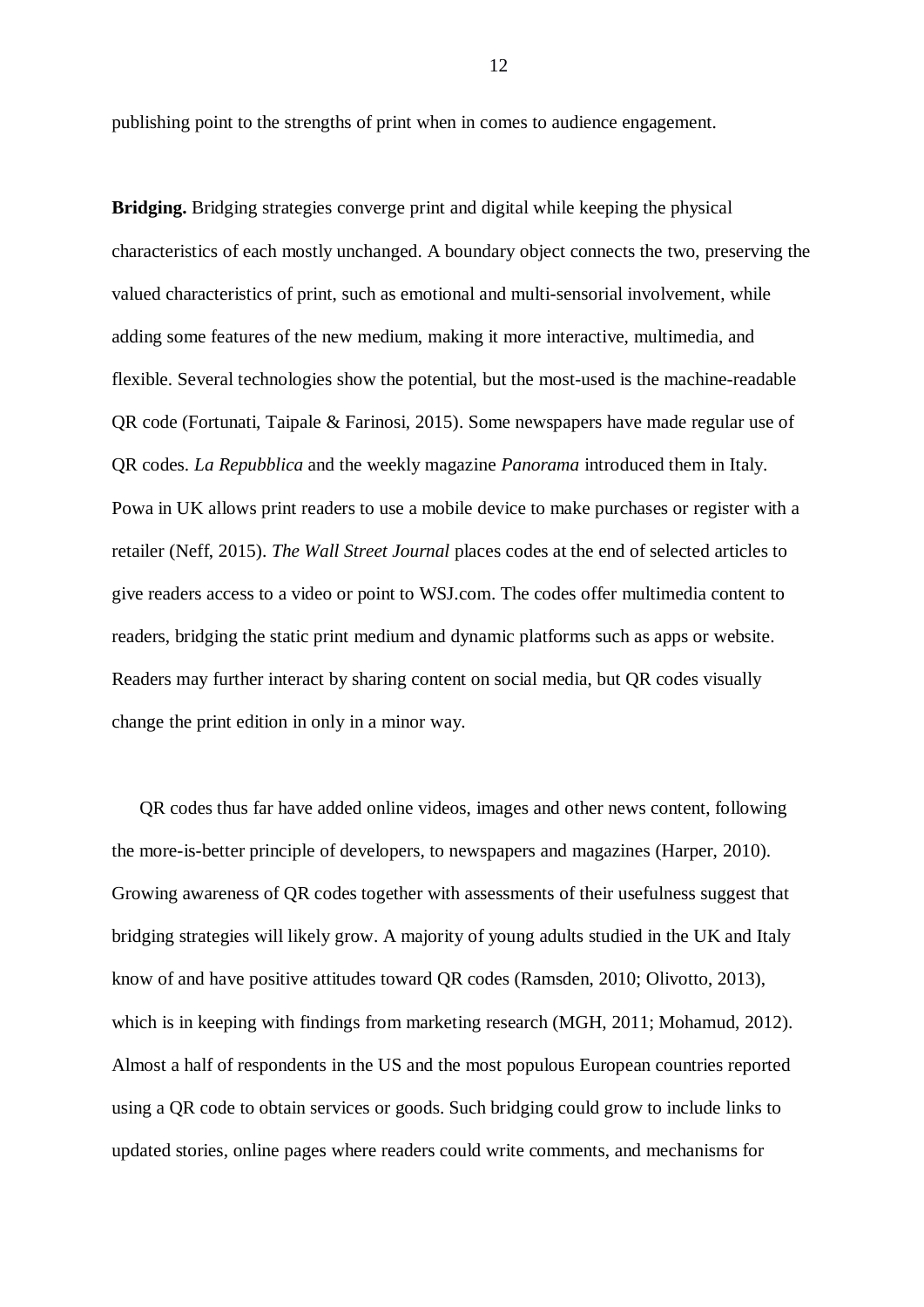publishing point to the strengths of print when in comes to audience engagement.

**Bridging.** Bridging strategies converge print and digital while keeping the physical characteristics of each mostly unchanged. A boundary object connects the two, preserving the valued characteristics of print, such as emotional and multi-sensorial involvement, while adding some features of the new medium, making it more interactive, multimedia, and flexible. Several technologies show the potential, but the most-used is the machine-readable QR code (Fortunati, Taipale & Farinosi, 2015). Some newspapers have made regular use of QR codes. *La Repubblica* and the weekly magazine *Panorama* introduced them in Italy. Powa in UK allows print readers to use a mobile device to make purchases or register with a retailer (Neff, 2015). *The Wall Street Journal* places codes at the end of selected articles to give readers access to a video or point to WSJ.com. The codes offer multimedia content to readers, bridging the static print medium and dynamic platforms such as apps or website. Readers may further interact by sharing content on social media, but QR codes visually change the print edition in only in a minor way.

 QR codes thus far have added online videos, images and other news content, following the more-is-better principle of developers, to newspapers and magazines (Harper, 2010). Growing awareness of QR codes together with assessments of their usefulness suggest that bridging strategies will likely grow. A majority of young adults studied in the UK and Italy know of and have positive attitudes toward QR codes (Ramsden, 2010; Olivotto, 2013), which is in keeping with findings from marketing research (MGH, 2011; Mohamud, 2012). Almost a half of respondents in the US and the most populous European countries reported using a QR code to obtain services or goods. Such bridging could grow to include links to updated stories, online pages where readers could write comments, and mechanisms for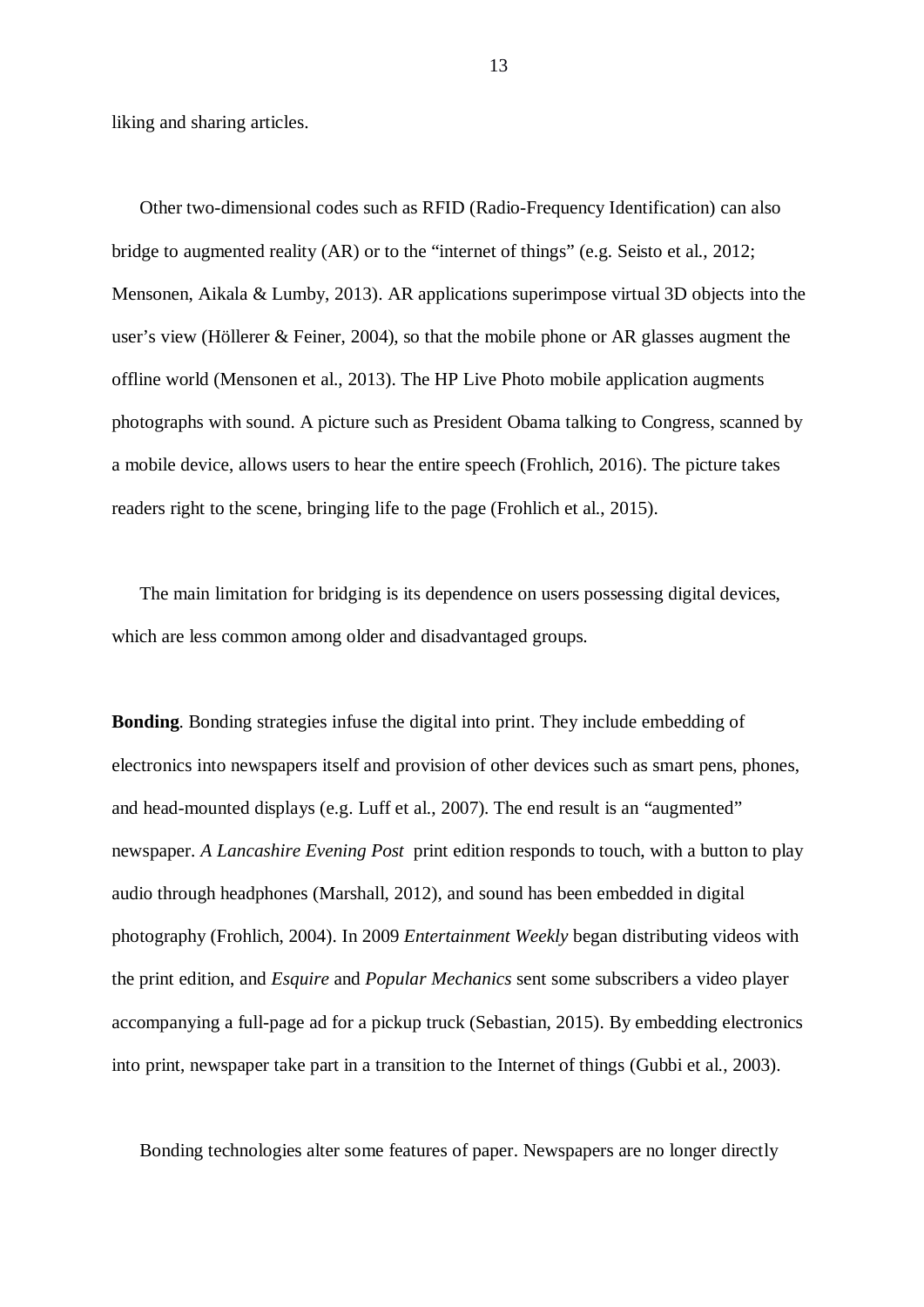liking and sharing articles.

 Other two-dimensional codes such as RFID (Radio-Frequency Identification) can also bridge to augmented reality (AR) or to the "internet of things" (e.g. Seisto et al., 2012; Mensonen, Aikala & Lumby, 2013). AR applications superimpose virtual 3D objects into the user's view (Höllerer & Feiner, 2004), so that the mobile phone or AR glasses augment the offline world (Mensonen et al., 2013). The HP Live Photo mobile application augments photographs with sound. A picture such as President Obama talking to Congress, scanned by a mobile device, allows users to hear the entire speech (Frohlich, 2016). The picture takes readers right to the scene, bringing life to the page (Frohlich et al., 2015).

 The main limitation for bridging is its dependence on users possessing digital devices, which are less common among older and disadvantaged groups.

**Bonding**. Bonding strategies infuse the digital into print. They include embedding of electronics into newspapers itself and provision of other devices such as smart pens, phones, and head-mounted displays (e.g. Luff et al., 2007). The end result is an "augmented" newspaper. *A Lancashire Evening Post* print edition responds to touch, with a button to play audio through headphones (Marshall, 2012), and sound has been embedded in digital photography (Frohlich, 2004). In 2009 *Entertainment Weekly* began distributing videos with the print edition, and *Esquire* and *Popular Mechanics* sent some subscribers a video player accompanying a full-page ad for a pickup truck (Sebastian, 2015). By embedding electronics into print, newspaper take part in a transition to the Internet of things (Gubbi et al., 2003).

Bonding technologies alter some features of paper. Newspapers are no longer directly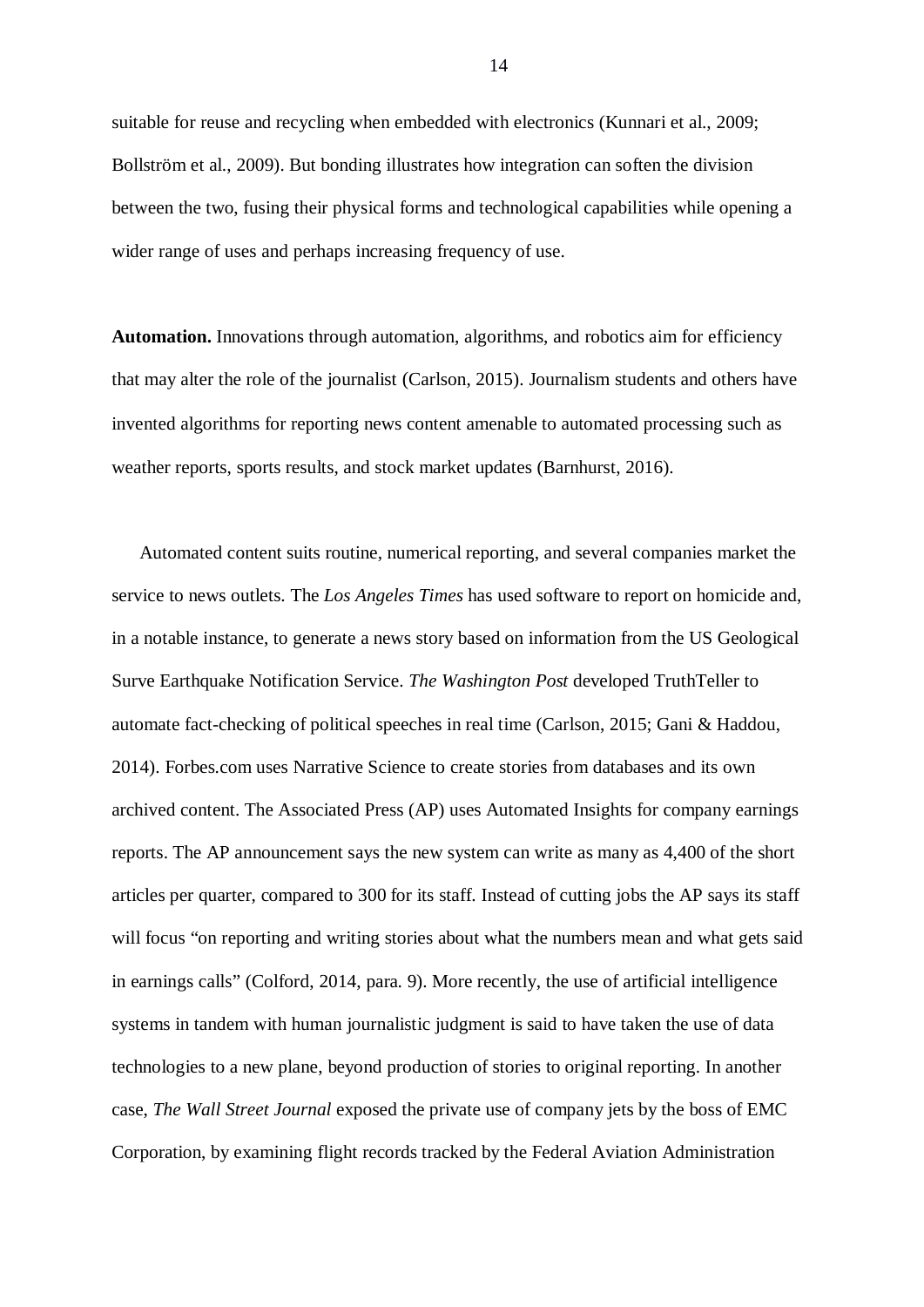suitable for reuse and recycling when embedded with electronics (Kunnari et al., 2009; Bollström et al., 2009). But bonding illustrates how integration can soften the division between the two, fusing their physical forms and technological capabilities while opening a wider range of uses and perhaps increasing frequency of use.

**Automation.** Innovations through automation, algorithms, and robotics aim for efficiency that may alter the role of the journalist (Carlson, 2015). Journalism students and others have invented algorithms for reporting news content amenable to automated processing such as weather reports, sports results, and stock market updates (Barnhurst, 2016).

 Automated content suits routine, numerical reporting, and several companies market the service to news outlets. The *Los Angeles Times* has used software to report on homicide and, in a notable instance, to generate a news story based on information from the US Geological Surve Earthquake Notification Service. *The Washington Post* developed TruthTeller to automate fact-checking of political speeches in real time (Carlson, 2015; Gani & Haddou, 2014). Forbes.com uses Narrative Science to create stories from databases and its own archived content. The Associated Press (AP) uses Automated Insights for company earnings reports. The AP announcement says the new system can write as many as 4,400 of the short articles per quarter, compared to 300 for its staff. Instead of cutting jobs the AP says its staff will focus "on reporting and writing stories about what the numbers mean and what gets said in earnings calls" (Colford, 2014, para. 9). More recently, the use of artificial intelligence systems in tandem with human journalistic judgment is said to have taken the use of data technologies to a new plane, beyond production of stories to original reporting. In another case, *The Wall Street Journal* exposed the private use of company jets by the boss of EMC Corporation, by examining flight records tracked by the Federal Aviation Administration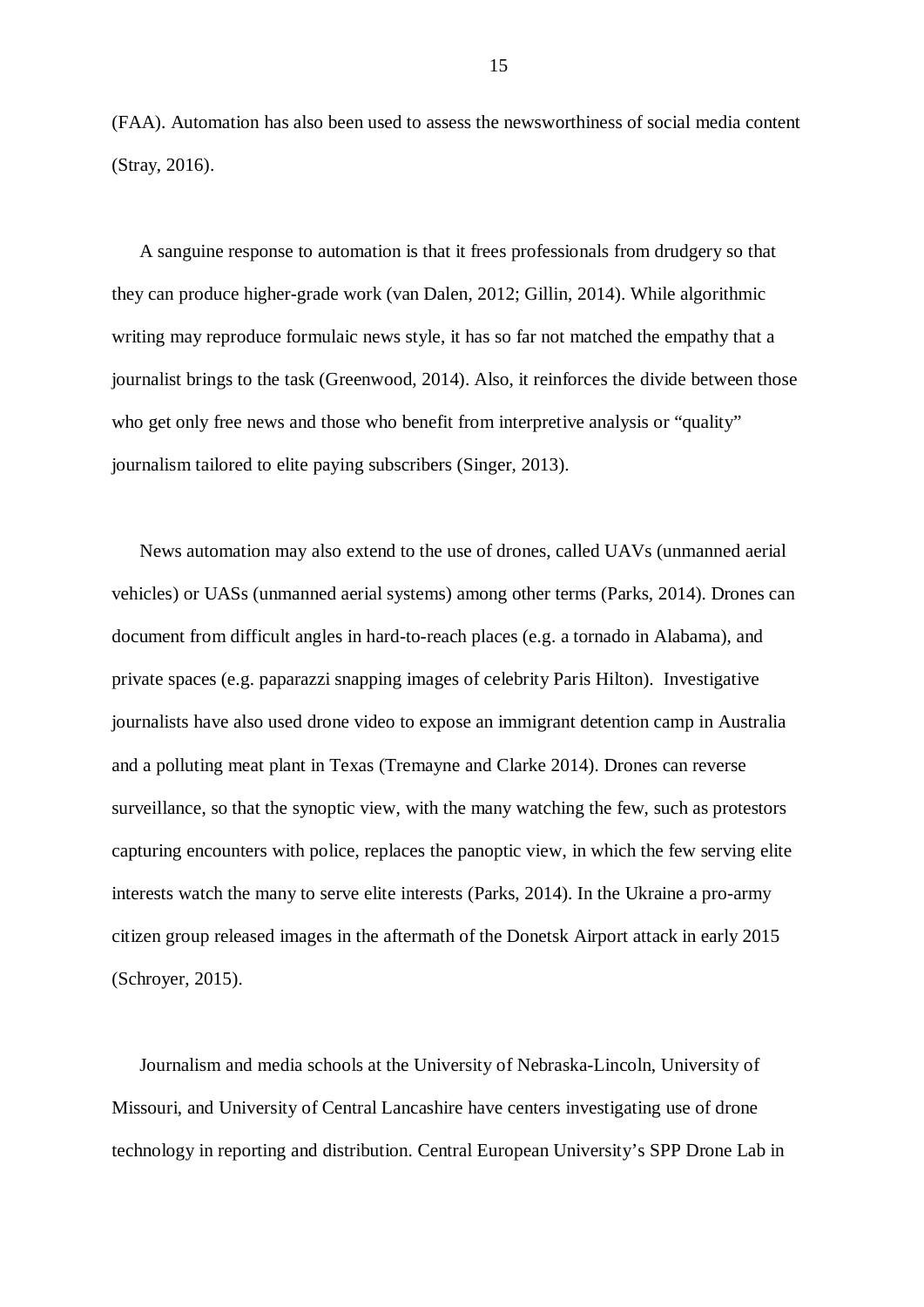(FAA). Automation has also been used to assess the newsworthiness of social media content (Stray, 2016).

 A sanguine response to automation is that it frees professionals from drudgery so that they can produce higher-grade work (van Dalen, 2012; Gillin, 2014). While algorithmic writing may reproduce formulaic news style, it has so far not matched the empathy that a journalist brings to the task (Greenwood, 2014). Also, it reinforces the divide between those who get only free news and those who benefit from interpretive analysis or "quality" journalism tailored to elite paying subscribers (Singer, 2013).

 News automation may also extend to the use of drones, called UAVs (unmanned aerial vehicles) or UASs (unmanned aerial systems) among other terms (Parks, 2014). Drones can document from difficult angles in hard-to-reach places (e.g. a tornado in Alabama), and private spaces (e.g. paparazzi snapping images of celebrity Paris Hilton). Investigative journalists have also used drone video to expose an immigrant detention camp in Australia and a polluting meat plant in Texas (Tremayne and Clarke 2014). Drones can reverse surveillance, so that the synoptic view, with the many watching the few, such as protestors capturing encounters with police, replaces the panoptic view, in which the few serving elite interests watch the many to serve elite interests (Parks, 2014). In the Ukraine a pro-army citizen group released images in the aftermath of the Donetsk Airport attack in early 2015 (Schroyer, 2015).

 Journalism and media schools at the University of Nebraska-Lincoln, University of Missouri, and University of Central Lancashire have centers investigating use of drone technology in reporting and distribution. Central European University's SPP Drone Lab in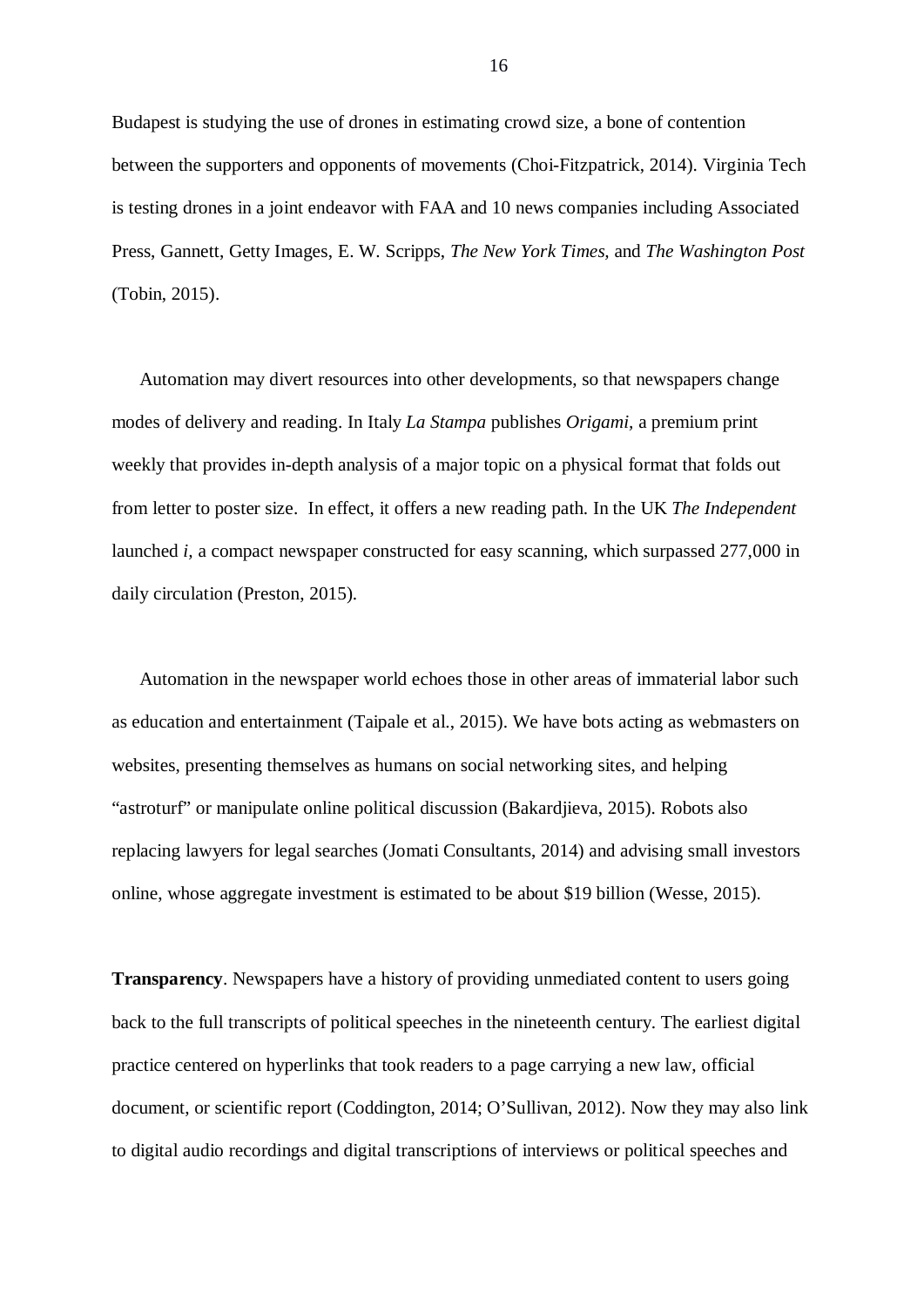Budapest is studying the use of drones in estimating crowd size, a bone of contention between the supporters and opponents of movements (Choi-Fitzpatrick, 2014). Virginia Tech is testing drones in a joint endeavor with FAA and 10 news companies including Associated Press, Gannett, Getty Images, E. W. Scripps, *The New York Times,* and *The Washington Post* (Tobin, 2015).

 Automation may divert resources into other developments, so that newspapers change modes of delivery and reading. In Italy *La Stampa* publishes *Origami,* a premium print weekly that provides in-depth analysis of a major topic on a physical format that folds out from letter to poster size. In effect, it offers a new reading path. In the UK *The Independent* launched *i,* a compact newspaper constructed for easy scanning, which surpassed 277,000 in daily circulation (Preston, 2015).

 Automation in the newspaper world echoes those in other areas of immaterial labor such as education and entertainment (Taipale et al., 2015). We have bots acting as webmasters on websites, presenting themselves as humans on social networking sites, and helping "astroturf" or manipulate online political discussion (Bakardjieva, 2015). Robots also replacing lawyers for legal searches (Jomati Consultants, 2014) and advising small investors online, whose aggregate investment is estimated to be about \$19 billion (Wesse, 2015).

**Transparency**. Newspapers have a history of providing unmediated content to users going back to the full transcripts of political speeches in the nineteenth century. The earliest digital practice centered on hyperlinks that took readers to a page carrying a new law, official document, or scientific report (Coddington, 2014; O'Sullivan, 2012). Now they may also link to digital audio recordings and digital transcriptions of interviews or political speeches and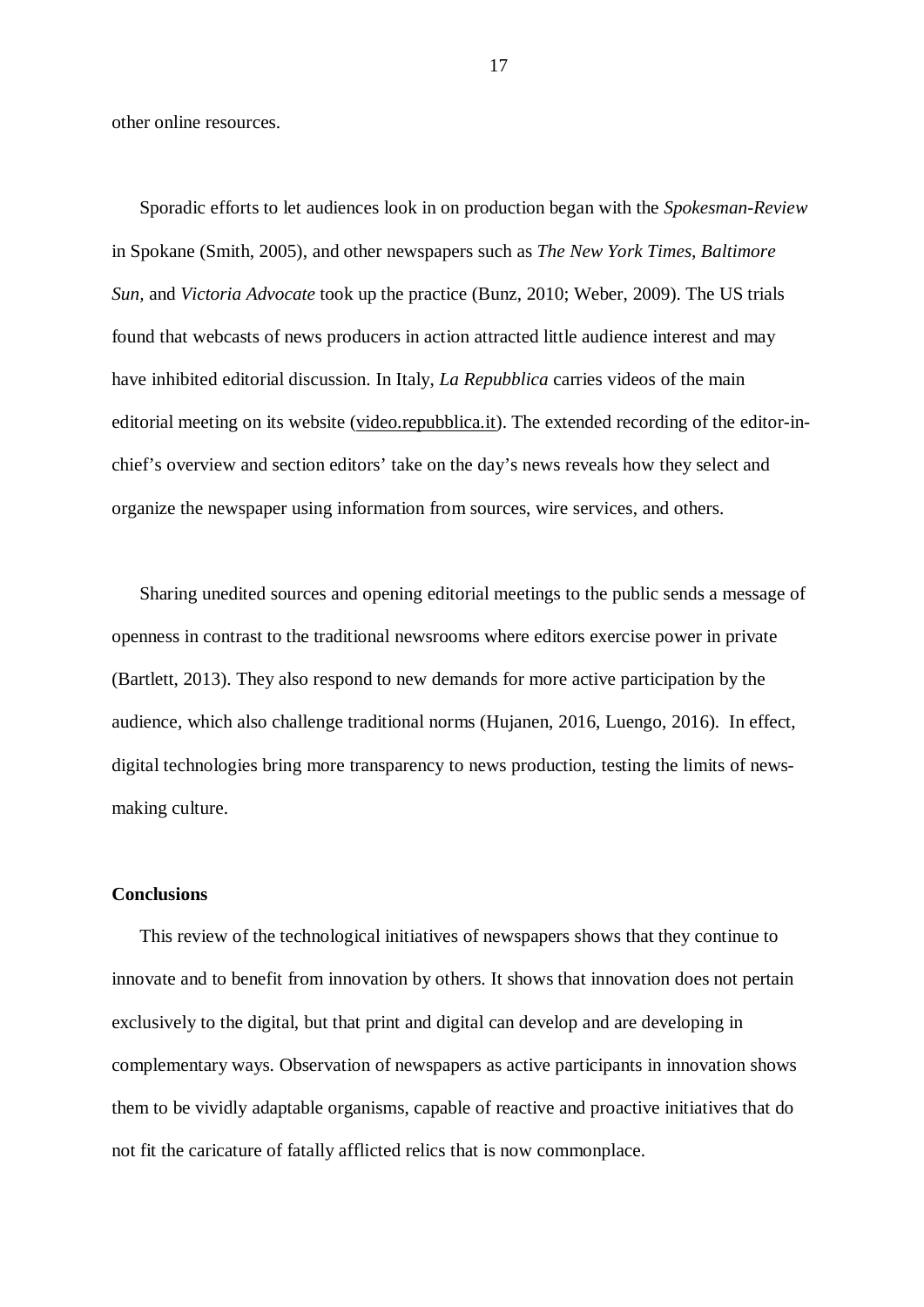other online resources.

 Sporadic efforts to let audiences look in on production began with the *Spokesman-Review* in Spokane (Smith, 2005), and other newspapers such as *The New York Times, Baltimore Sun,* and *Victoria Advocate* took up the practice (Bunz, 2010; Weber, 2009). The US trials found that webcasts of news producers in action attracted little audience interest and may have inhibited editorial discussion. In Italy, *La Repubblica* carries videos of the main editorial meeting on its website (video.repubblica.it). The extended recording of the editor-inchief's overview and section editors' take on the day's news reveals how they select and organize the newspaper using information from sources, wire services, and others.

 Sharing unedited sources and opening editorial meetings to the public sends a message of openness in contrast to the traditional newsrooms where editors exercise power in private (Bartlett, 2013). They also respond to new demands for more active participation by the audience, which also challenge traditional norms (Hujanen, 2016, Luengo, 2016). In effect, digital technologies bring more transparency to news production, testing the limits of newsmaking culture.

### **Conclusions**

 This review of the technological initiatives of newspapers shows that they continue to innovate and to benefit from innovation by others. It shows that innovation does not pertain exclusively to the digital, but that print and digital can develop and are developing in complementary ways. Observation of newspapers as active participants in innovation shows them to be vividly adaptable organisms, capable of reactive and proactive initiatives that do not fit the caricature of fatally afflicted relics that is now commonplace.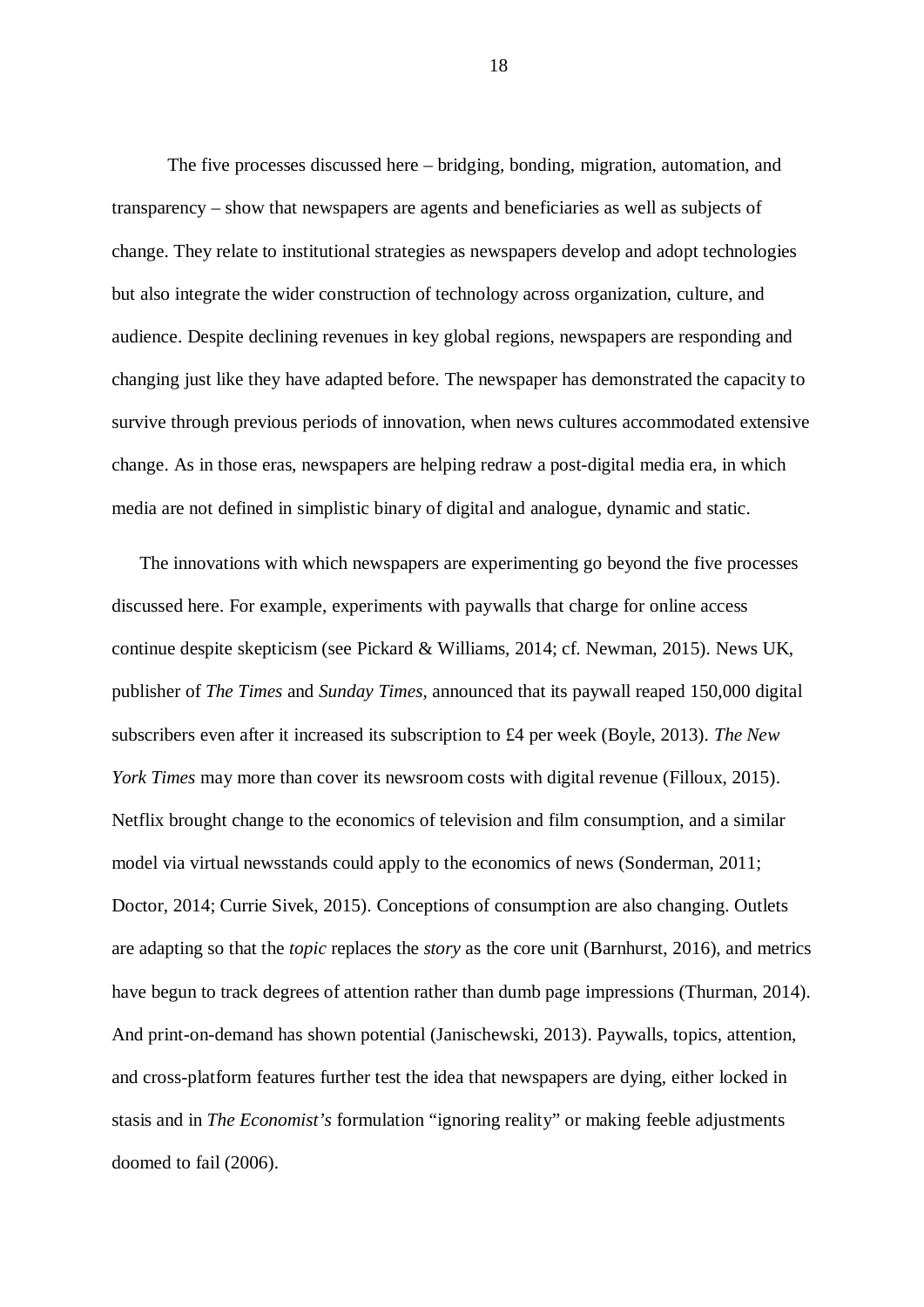The five processes discussed here – bridging, bonding, migration, automation, and transparency – show that newspapers are agents and beneficiaries as well as subjects of change. They relate to institutional strategies as newspapers develop and adopt technologies but also integrate the wider construction of technology across organization, culture, and audience. Despite declining revenues in key global regions, newspapers are responding and changing just like they have adapted before. The newspaper has demonstrated the capacity to survive through previous periods of innovation, when news cultures accommodated extensive change. As in those eras, newspapers are helping redraw a post-digital media era, in which media are not defined in simplistic binary of digital and analogue, dynamic and static.

 The innovations with which newspapers are experimenting go beyond the five processes discussed here. For example, experiments with paywalls that charge for online access continue despite skepticism (see Pickard & Williams, 2014; cf. Newman, 2015). News UK, publisher of *The Times* and *Sunday Times,* announced that its paywall reaped 150,000 digital subscribers even after it increased its subscription to £4 per week (Boyle, 2013). *The New York Times* may more than cover its newsroom costs with digital revenue (Filloux, 2015). Netflix brought change to the economics of television and film consumption, and a similar model via virtual newsstands could apply to the economics of news (Sonderman, 2011; Doctor, 2014; Currie Sivek, 2015). Conceptions of consumption are also changing. Outlets are adapting so that the *topic* replaces the *story* as the core unit (Barnhurst, 2016), and metrics have begun to track degrees of attention rather than dumb page impressions (Thurman, 2014). And print-on-demand has shown potential (Janischewski, 2013). Paywalls, topics, attention, and cross-platform features further test the idea that newspapers are dying, either locked in stasis and in *The Economist's* formulation "ignoring reality" or making feeble adjustments doomed to fail (2006).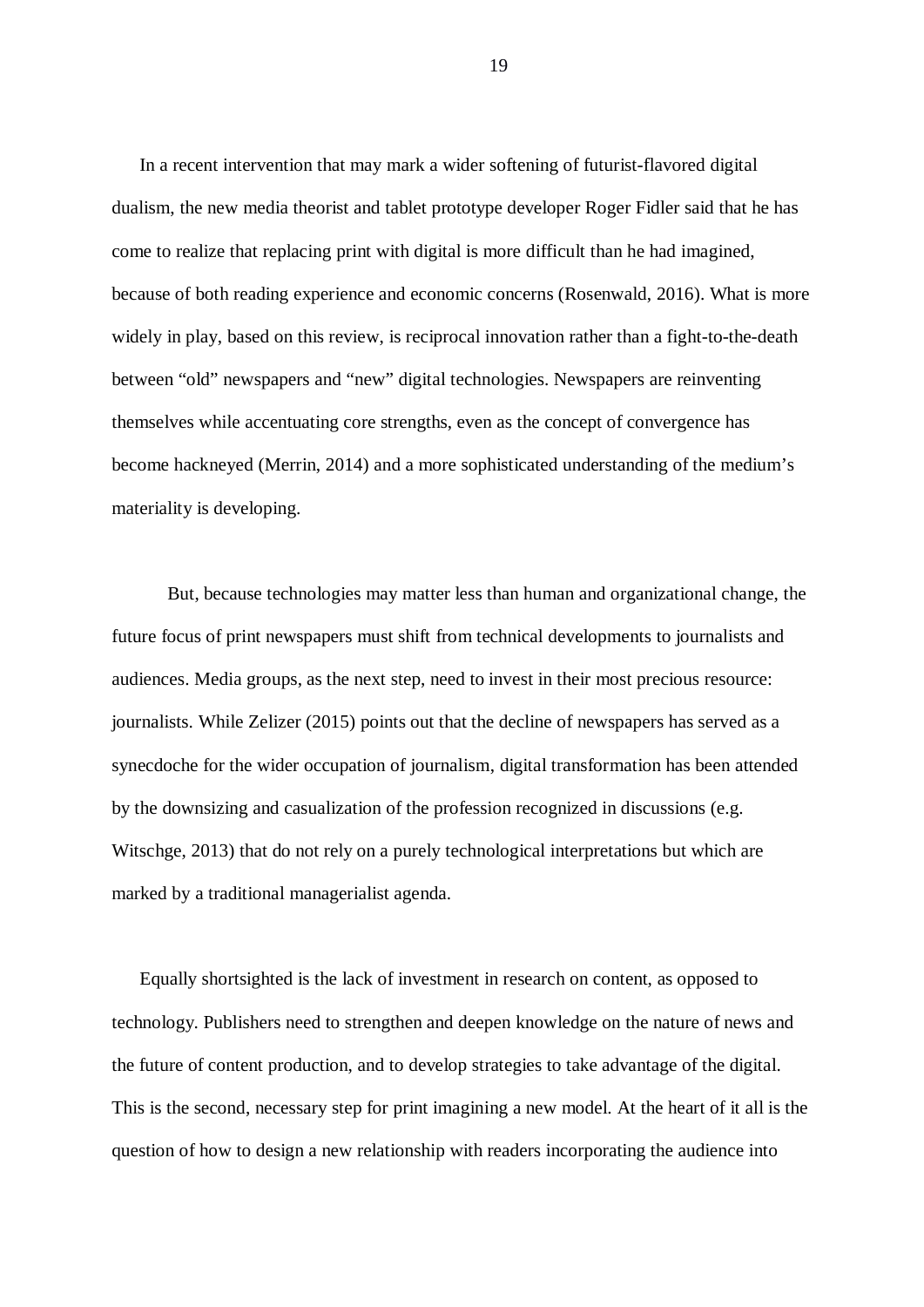In a recent intervention that may mark a wider softening of futurist-flavored digital dualism, the new media theorist and tablet prototype developer Roger Fidler said that he has come to realize that replacing print with digital is more difficult than he had imagined, because of both reading experience and economic concerns (Rosenwald, 2016). What is more widely in play, based on this review, is reciprocal innovation rather than a fight-to-the-death between "old" newspapers and "new" digital technologies. Newspapers are reinventing themselves while accentuating core strengths, even as the concept of convergence has become hackneyed (Merrin, 2014) and a more sophisticated understanding of the medium's materiality is developing.

But, because technologies may matter less than human and organizational change, the future focus of print newspapers must shift from technical developments to journalists and audiences. Media groups, as the next step, need to invest in their most precious resource: journalists. While Zelizer (2015) points out that the decline of newspapers has served as a synecdoche for the wider occupation of journalism, digital transformation has been attended by the downsizing and casualization of the profession recognized in discussions (e.g. Witschge, 2013) that do not rely on a purely technological interpretations but which are marked by a traditional managerialist agenda.

 Equally shortsighted is the lack of investment in research on content, as opposed to technology. Publishers need to strengthen and deepen knowledge on the nature of news and the future of content production, and to develop strategies to take advantage of the digital. This is the second, necessary step for print imagining a new model. At the heart of it all is the question of how to design a new relationship with readers incorporating the audience into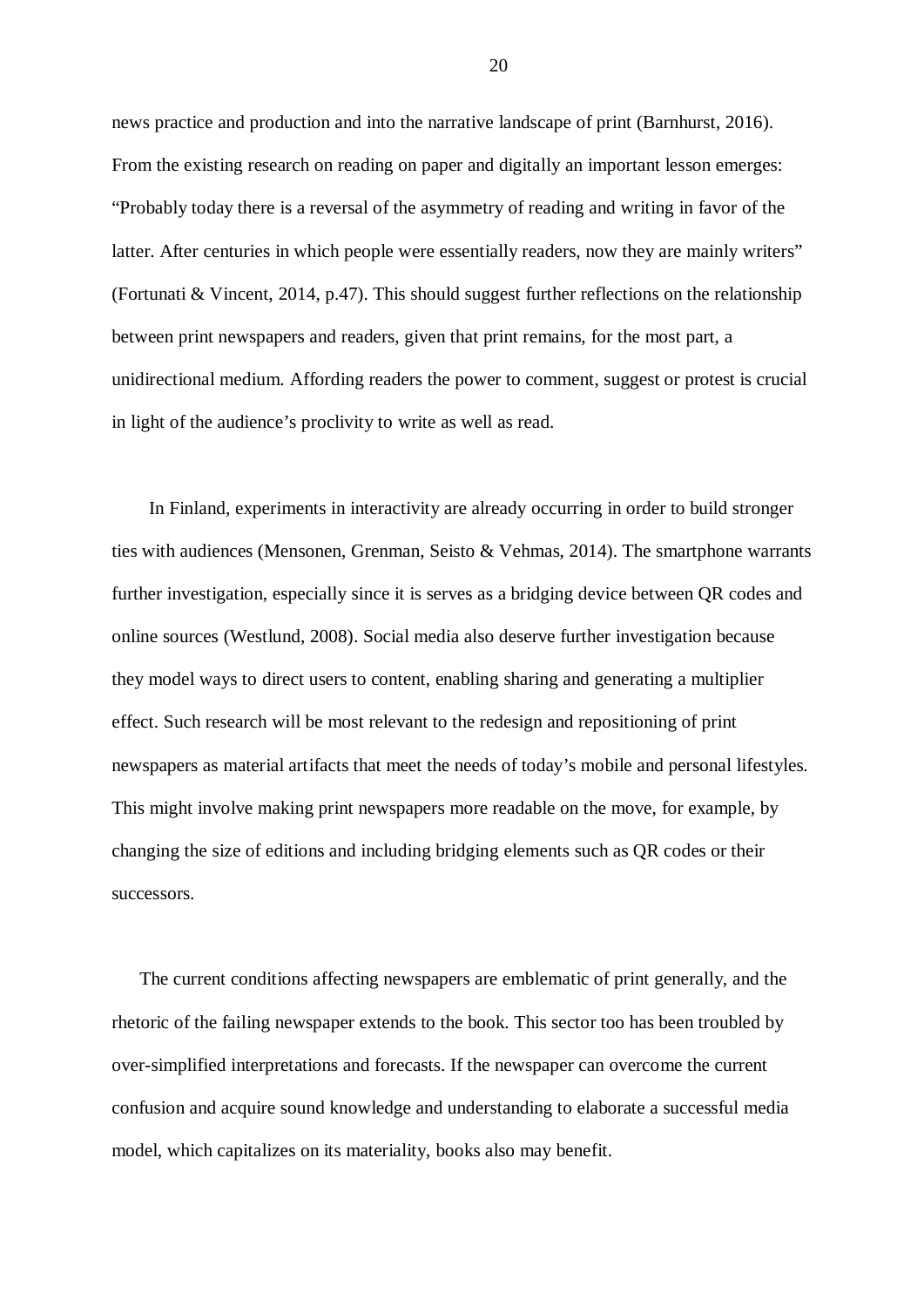news practice and production and into the narrative landscape of print (Barnhurst, 2016). From the existing research on reading on paper and digitally an important lesson emerges: "Probably today there is a reversal of the asymmetry of reading and writing in favor of the latter. After centuries in which people were essentially readers, now they are mainly writers" (Fortunati & Vincent, 2014, p.47). This should suggest further reflections on the relationship between print newspapers and readers, given that print remains, for the most part, a unidirectional medium. Affording readers the power to comment, suggest or protest is crucial in light of the audience's proclivity to write as well as read.

In Finland, experiments in interactivity are already occurring in order to build stronger ties with audiences (Mensonen, Grenman, Seisto & Vehmas, 2014). The smartphone warrants further investigation, especially since it is serves as a bridging device between QR codes and online sources (Westlund, 2008). Social media also deserve further investigation because they model ways to direct users to content, enabling sharing and generating a multiplier effect. Such research will be most relevant to the redesign and repositioning of print newspapers as material artifacts that meet the needs of today's mobile and personal lifestyles. This might involve making print newspapers more readable on the move, for example, by changing the size of editions and including bridging elements such as QR codes or their successors.

 The current conditions affecting newspapers are emblematic of print generally, and the rhetoric of the failing newspaper extends to the book. This sector too has been troubled by over-simplified interpretations and forecasts. If the newspaper can overcome the current confusion and acquire sound knowledge and understanding to elaborate a successful media model, which capitalizes on its materiality, books also may benefit.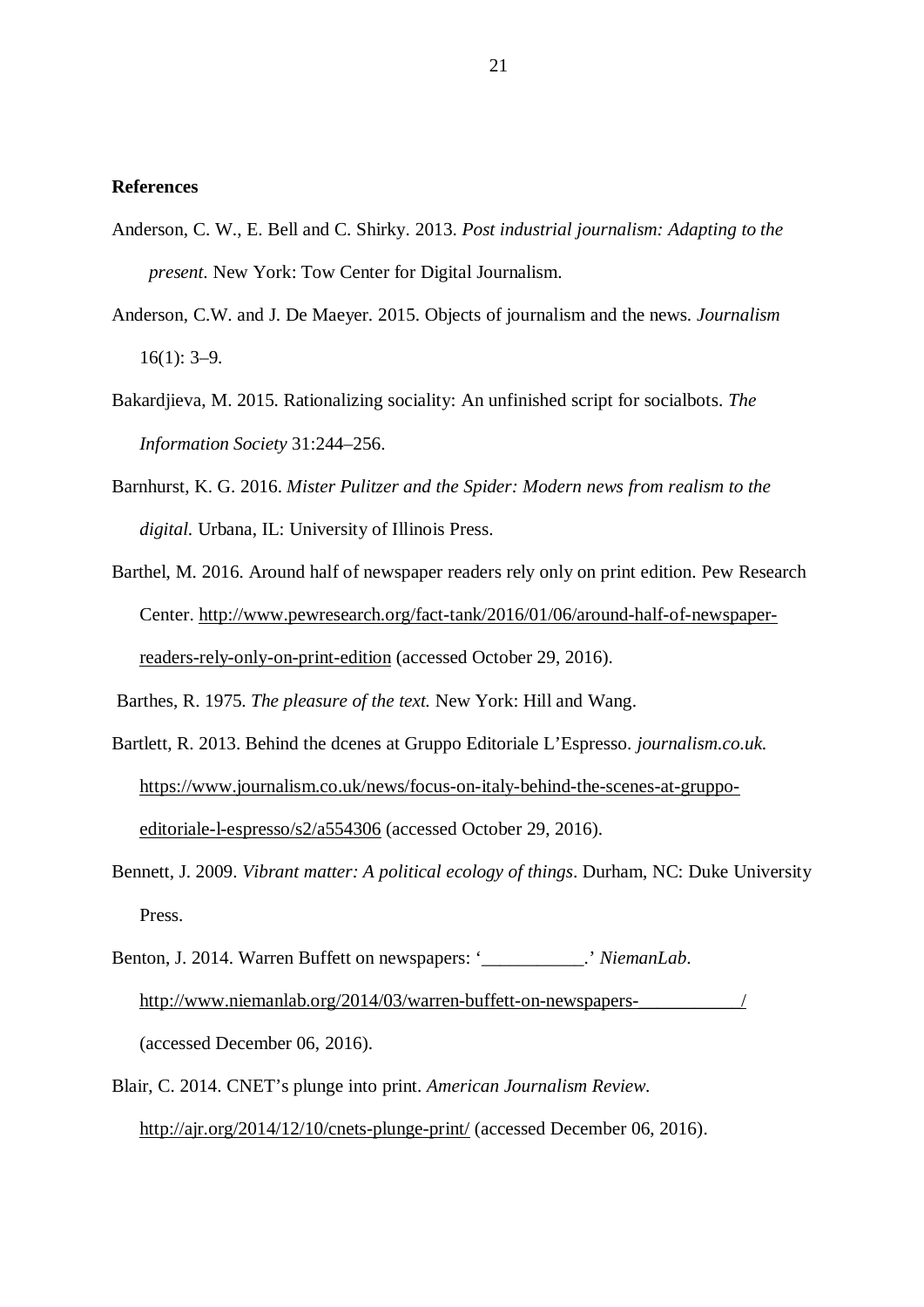# **References**

- Anderson, C. W., E. Bell and C. Shirky. 2013. *Post industrial journalism: Adapting to the present*. New York: Tow Center for Digital Journalism.
- Anderson, C.W. and J. De Maeyer. 2015. Objects of journalism and the news. *Journalism* 16(1): 3–9.
- Bakardjieva, M. 2015. Rationalizing sociality: An unfinished script for socialbots. *The Information Society* 31:244–256.
- Barnhurst, K. G. 2016. *Mister Pulitzer and the Spider: Modern news from realism to the digital.* Urbana, IL: University of Illinois Press.
- Barthel, M. 2016. Around half of newspaper readers rely only on print edition. Pew Research Center. http://www.pewresearch.org/fact-tank/2016/01/06/around-half-of-newspaperreaders-rely-only-on-print-edition (accessed October 29, 2016).

Barthes, R. 1975. *The pleasure of the text.* New York: Hill and Wang.

- Bartlett, R. 2013. Behind the dcenes at Gruppo Editoriale L'Espresso. *journalism.co.uk.* https://www.journalism.co.uk/news/focus-on-italy-behind-the-scenes-at-gruppoeditoriale-l-espresso/s2/a554306 (accessed October 29, 2016).
- Bennett, J. 2009. *Vibrant matter: A political ecology of things*. Durham, NC: Duke University Press.
- Benton, J. 2014. Warren Buffett on newspapers: '\_\_\_\_\_\_\_\_\_\_\_.' *NiemanLab*. http://www.niemanlab.org/2014/03/warren-buffett-on-newspapers-(accessed December 06, 2016).
- Blair, C. 2014. CNET's plunge into print. *American Journalism Review*. http://ajr.org/2014/12/10/cnets-plunge-print/ (accessed December 06, 2016).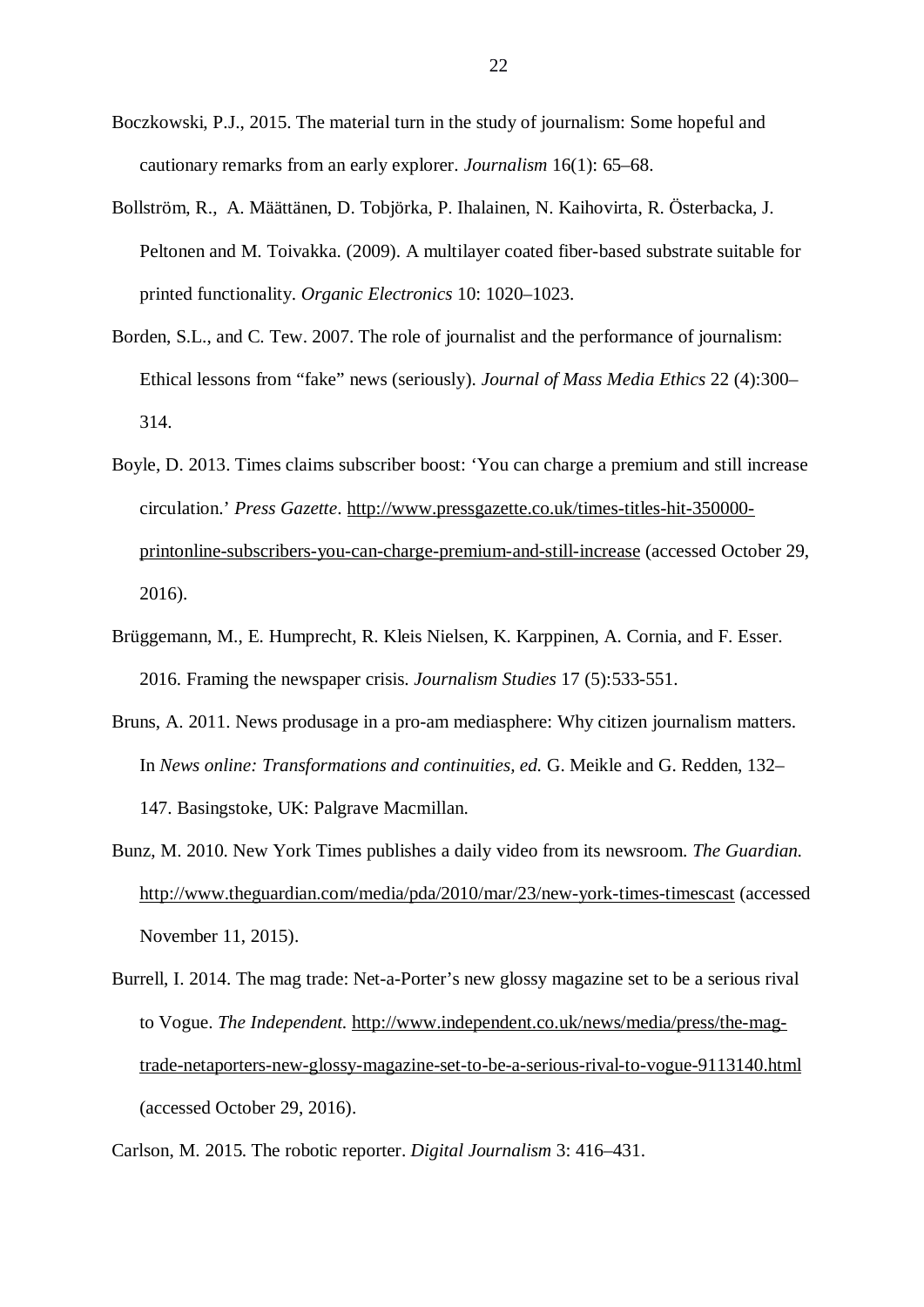- Boczkowski, P.J., 2015. The material turn in the study of journalism: Some hopeful and cautionary remarks from an early explorer. *Journalism* 16(1): 65–68.
- Bollström, R., A. Määttänen, D. Tobjörka, P. Ihalainen, N. Kaihovirta, R. Österbacka, J. Peltonen and M. Toivakka. (2009). A multilayer coated fiber-based substrate suitable for printed functionality. *Organic Electronics* 10: 1020–1023.
- Borden, S.L., and C. Tew. 2007. The role of journalist and the performance of journalism: Ethical lessons from "fake" news (seriously). *Journal of Mass Media Ethics* 22 (4):300– 314.
- Boyle, D. 2013. Times claims subscriber boost: 'You can charge a premium and still increase circulation.' *Press Gazette*. http://www.pressgazette.co.uk/times-titles-hit-350000 printonline-subscribers-you-can-charge-premium-and-still-increase (accessed October 29, 2016).
- Brüggemann, M., E. Humprecht, R. Kleis Nielsen, K. Karppinen, A. Cornia, and F. Esser. 2016. Framing the newspaper crisis. *Journalism Studies* 17 (5):533-551.
- Bruns, A. 2011. News produsage in a pro-am mediasphere: Why citizen journalism matters. In *News online: Transformations and continuities, ed.* G. Meikle and G. Redden, 132– 147. Basingstoke, UK: Palgrave Macmillan.
- Bunz, M. 2010. New York Times publishes a daily video from its newsroom. *The Guardian.* http://www.theguardian.com/media/pda/2010/mar/23/new-york-times-timescast (accessed November 11, 2015).
- Burrell, I. 2014. The mag trade: Net-a-Porter's new glossy magazine set to be a serious rival to Vogue. *The Independent.* http://www.independent.co.uk/news/media/press/the-magtrade-netaporters-new-glossy-magazine-set-to-be-a-serious-rival-to-vogue-9113140.html (accessed October 29, 2016).

Carlson, M. 2015. The robotic reporter. *Digital Journalism* 3: 416–431.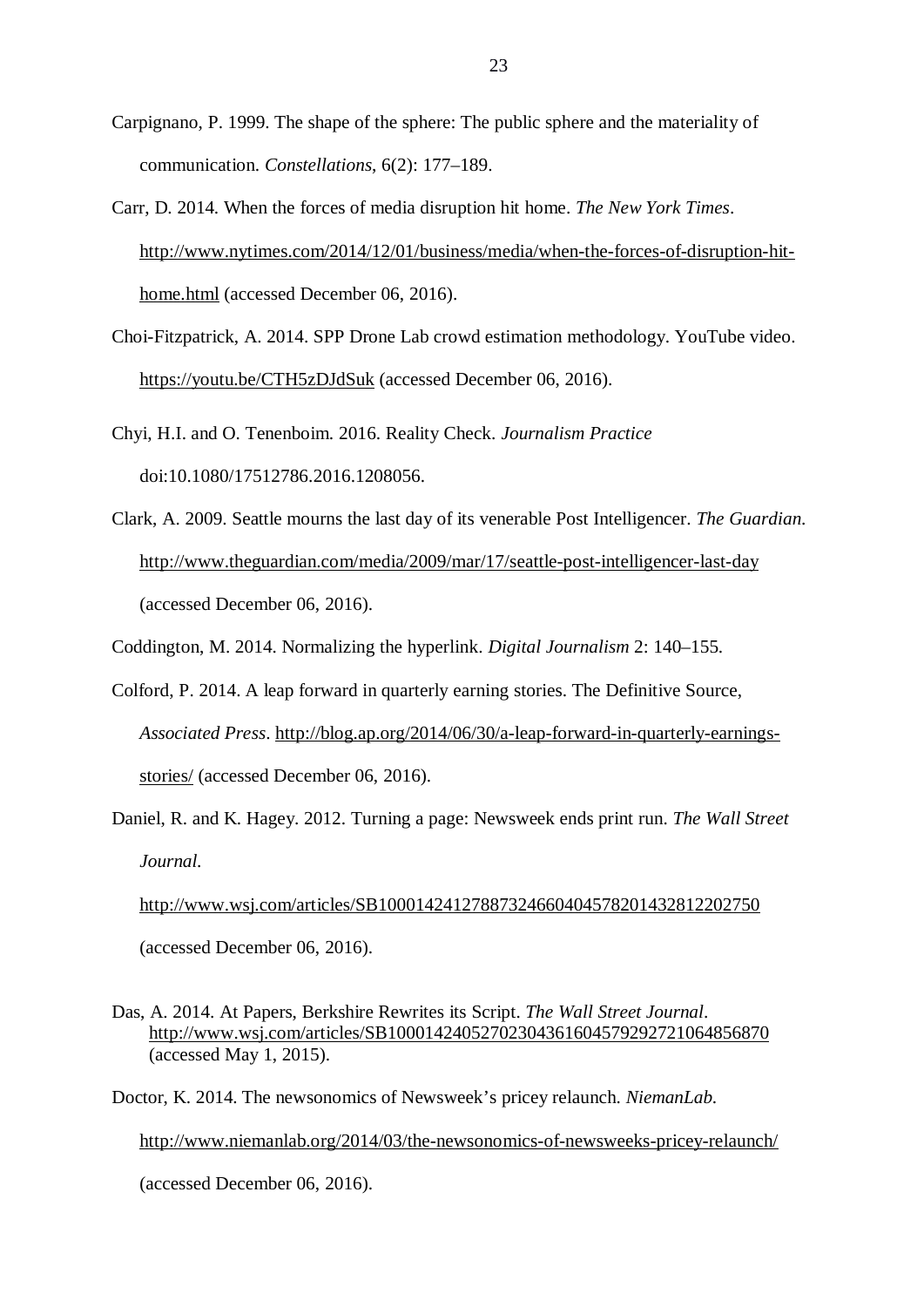- Carpignano, P. 1999. The shape of the sphere: The public sphere and the materiality of communication. *Constellations*, 6(2): 177–189.
- Carr, D. 2014. When the forces of media disruption hit home. *The New York Times*. http://www.nytimes.com/2014/12/01/business/media/when-the-forces-of-disruption-hithome.html (accessed December 06, 2016).
- Choi-Fitzpatrick, A. 2014. SPP Drone Lab crowd estimation methodology. YouTube video. https://youtu.be/CTH5zDJdSuk (accessed December 06, 2016).
- Chyi, H.I. and O. Tenenboim. 2016. Reality Check. *Journalism Practice* doi:10.1080/17512786.2016.1208056.
- Clark, A. 2009. Seattle mourns the last day of its venerable Post Intelligencer. *The Guardian*. http://www.theguardian.com/media/2009/mar/17/seattle-post-intelligencer-last-day (accessed December 06, 2016).
- Coddington, M. 2014. Normalizing the hyperlink. *Digital Journalism* 2: 140–155.
- Colford, P. 2014. A leap forward in quarterly earning stories. The Definitive Source, *Associated Press*. http://blog.ap.org/2014/06/30/a-leap-forward-in-quarterly-earningsstories/ (accessed December 06, 2016).
- Daniel, R. and K. Hagey. 2012. Turning a page: Newsweek ends print run. *The Wall Street Journal.*

http://www.wsj.com/articles/SB10001424127887324660404578201432812202750 (accessed December 06, 2016).

Das, A. 2014. At Papers, Berkshire Rewrites its Script. *The Wall Street Journal*. http://www.wsj.com/articles/SB10001424052702304361604579292721064856870 (accessed May 1, 2015).

Doctor, K. 2014. The newsonomics of Newsweek's pricey relaunch. *NiemanLab.* http://www.niemanlab.org/2014/03/the-newsonomics-of-newsweeks-pricey-relaunch/ (accessed December 06, 2016).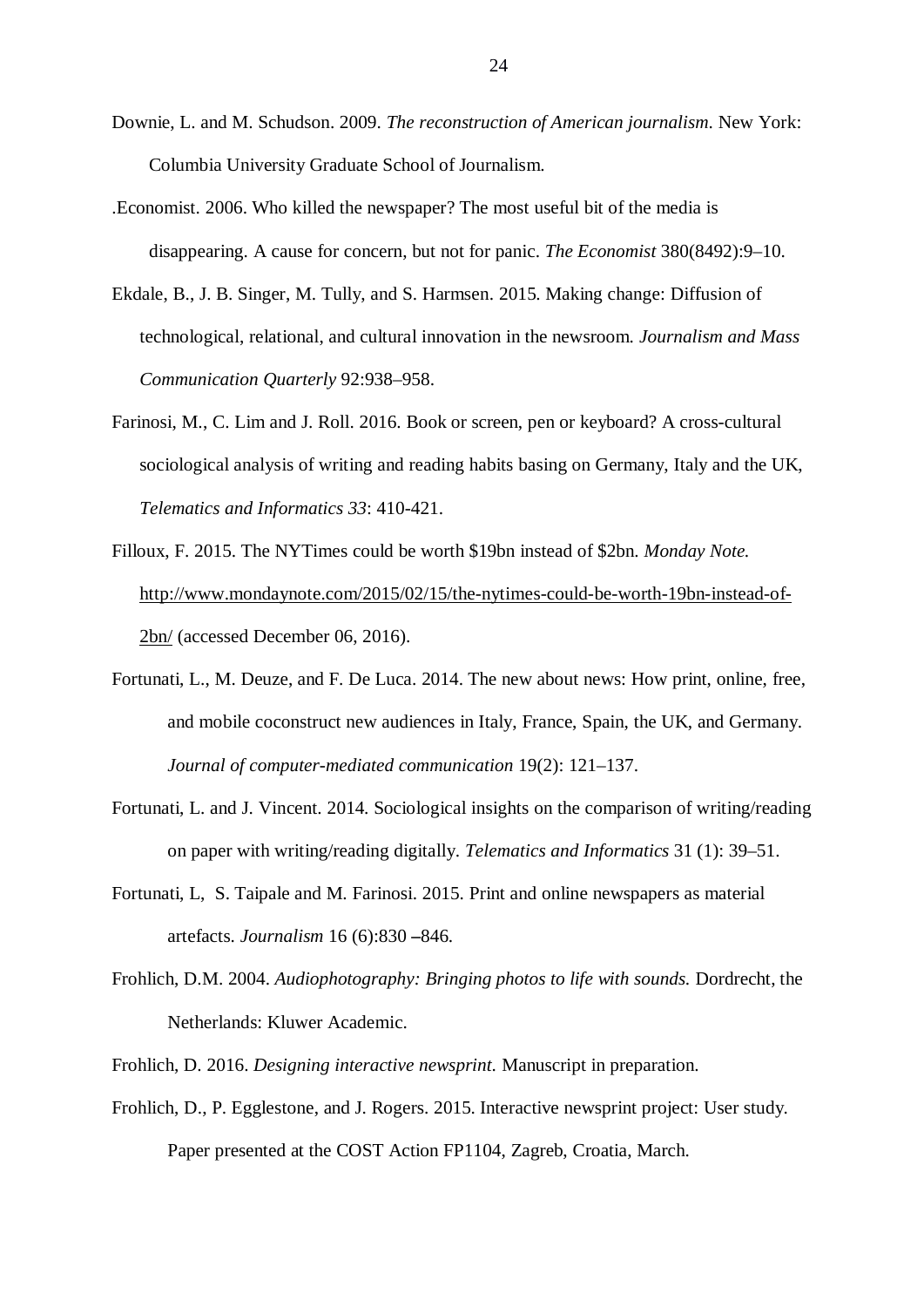- Downie, L. and M. Schudson. 2009. *The reconstruction of American journalism*. New York: Columbia University Graduate School of Journalism.
- .Economist. 2006. Who killed the newspaper? The most useful bit of the media is disappearing. A cause for concern, but not for panic. *The Economist* 380(8492):9–10.
- Ekdale, B., J. B. Singer, M. Tully, and S. Harmsen. 2015. Making change: Diffusion of technological, relational, and cultural innovation in the newsroom. *Journalism and Mass Communication Quarterly* 92:938–958.
- Farinosi, M., C. Lim and J. Roll. 2016. Book or screen, pen or keyboard? A cross-cultural sociological analysis of writing and reading habits basing on Germany, Italy and the UK, *Telematics and Informatics 33*: 410-421.
- Filloux, F. 2015. The NYTimes could be worth \$19bn instead of \$2bn. *Monday Note.* http://www.mondaynote.com/2015/02/15/the-nytimes-could-be-worth-19bn-instead-of-2bn/ (accessed December 06, 2016).
- Fortunati, L., M. Deuze, and F. De Luca. 2014. The new about news: How print, online, free, and mobile coconstruct new audiences in Italy, France, Spain, the UK, and Germany. *Journal of computer-mediated communication* 19(2): 121–137.
- Fortunati, L. and J. Vincent. 2014. Sociological insights on the comparison of writing/reading on paper with writing/reading digitally. *Telematics and Informatics* 31 (1): 39–51.
- Fortunati, L, S. Taipale and M. Farinosi. 2015. Print and online newspapers as material artefacts. *Journalism* 16 (6):830 **–**846.
- Frohlich, D.M. 2004. *Audiophotography: Bringing photos to life with sounds.* Dordrecht, the Netherlands: Kluwer Academic.
- Frohlich, D. 2016. *Designing interactive newsprint.* Manuscript in preparation.
- Frohlich, D., P. Egglestone, and J. Rogers. 2015. Interactive newsprint project: User study. Paper presented at the COST Action FP1104, Zagreb, Croatia, March.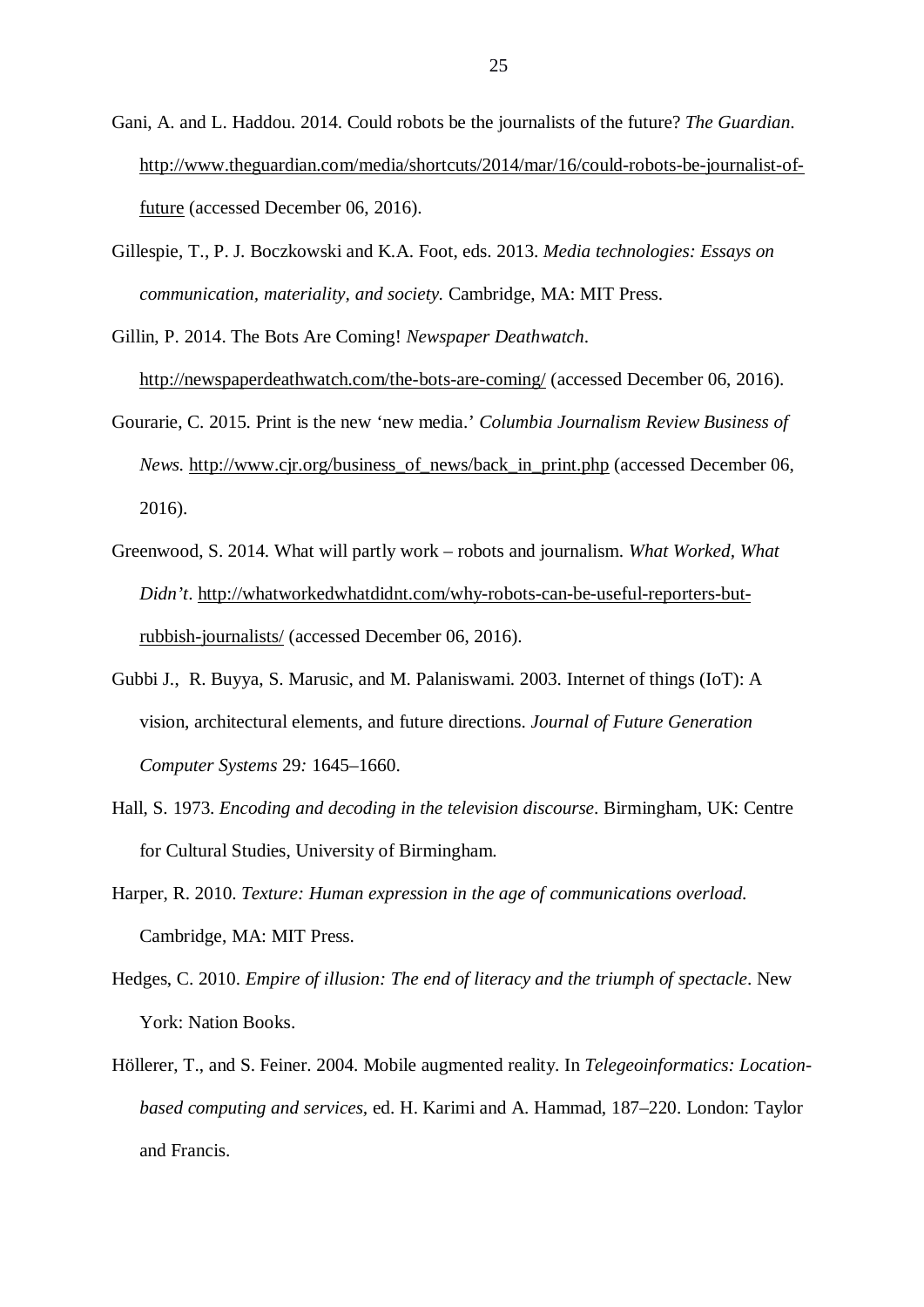- Gani, A. and L. Haddou. 2014. Could robots be the journalists of the future? *The Guardian*. http://www.theguardian.com/media/shortcuts/2014/mar/16/could-robots-be-journalist-offuture (accessed December 06, 2016).
- Gillespie, T., P. J. Boczkowski and K.A. Foot, eds. 2013. *Media technologies: Essays on communication, materiality, and society.* Cambridge, MA: MIT Press.
- Gillin, P. 2014. The Bots Are Coming! *Newspaper Deathwatch*. http://newspaperdeathwatch.com/the-bots-are-coming/ (accessed December 06, 2016).
- Gourarie, C. 2015. Print is the new 'new media.' *Columbia Journalism Review Business of News.* http://www.cjr.org/business\_of\_news/back\_in\_print.php (accessed December 06, 2016).
- Greenwood, S. 2014. What will partly work robots and journalism. *What Worked, What Didn't*. http://whatworkedwhatdidnt.com/why-robots-can-be-useful-reporters-butrubbish-journalists/ (accessed December 06, 2016).
- Gubbi J., R. Buyya, S. Marusic, and M. Palaniswami. 2003. Internet of things (IoT): A vision, architectural elements, and future directions. *Journal of Future Generation Computer Systems* 29*:* 1645–1660.
- Hall, S. 1973. *Encoding and decoding in the television discourse*. Birmingham, UK: Centre for Cultural Studies, University of Birmingham.
- Harper, R. 2010. *Texture: Human expression in the age of communications overload.* Cambridge, MA: MIT Press.
- Hedges, C. 2010. *Empire of illusion: The end of literacy and the triumph of spectacle*. New York: Nation Books.
- Höllerer, T., and S. Feiner. 2004. Mobile augmented reality. In *Telegeoinformatics: Locationbased computing and services,* ed. H. Karimi and A. Hammad, 187–220. London: Taylor and Francis.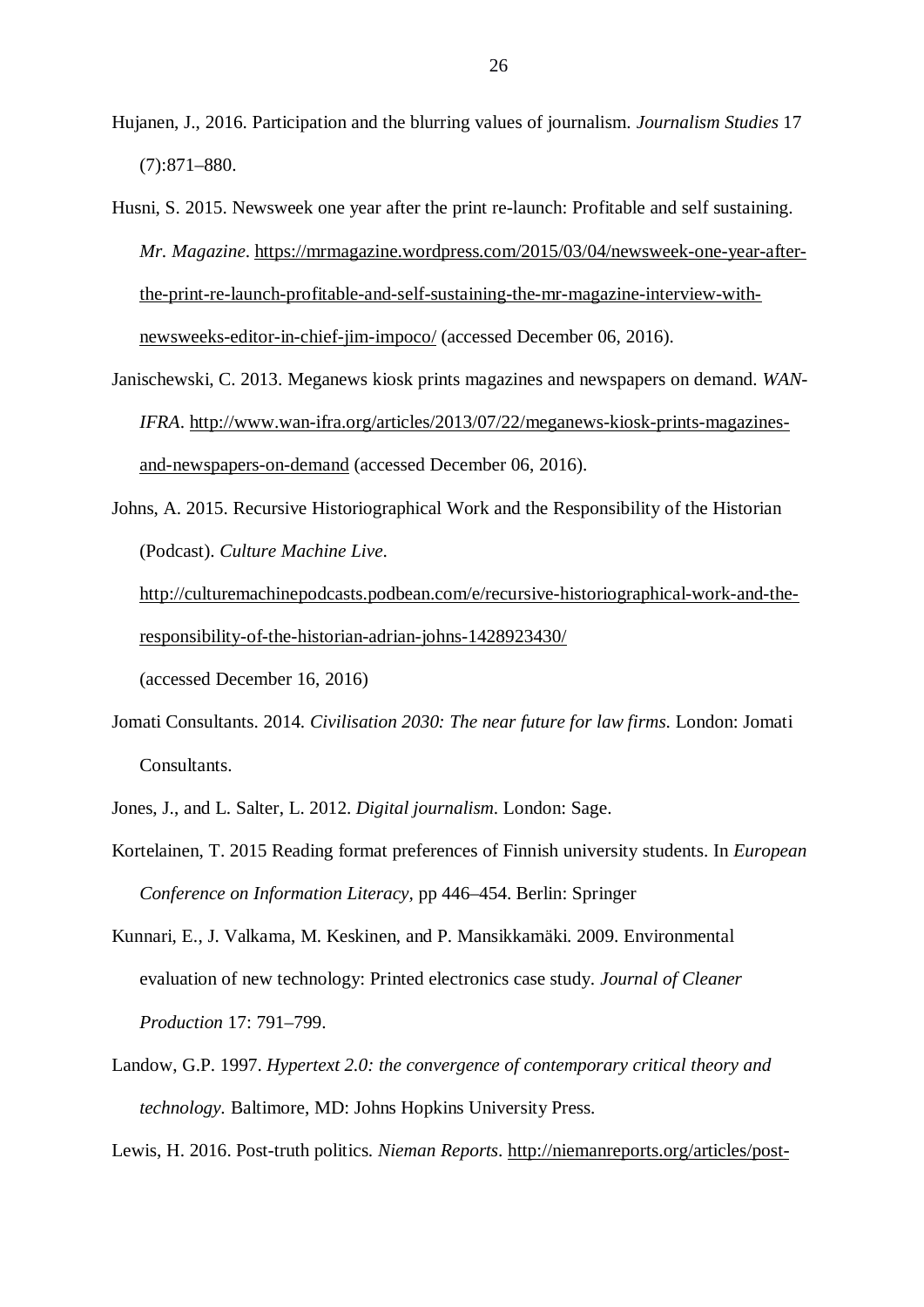- Hujanen, J., 2016. Participation and the blurring values of journalism. *Journalism Studies* 17 (7):871–880.
- Husni, S. 2015. Newsweek one year after the print re-launch: Profitable and self sustaining. *Mr. Magazine*. https://mrmagazine.wordpress.com/2015/03/04/newsweek-one-year-afterthe-print-re-launch-profitable-and-self-sustaining-the-mr-magazine-interview-withnewsweeks-editor-in-chief-jim-impoco/ (accessed December 06, 2016).
- Janischewski, C. 2013. Meganews kiosk prints magazines and newspapers on demand. *WAN-IFRA*. http://www.wan-ifra.org/articles/2013/07/22/meganews-kiosk-prints-magazinesand-newspapers-on-demand (accessed December 06, 2016).
- Johns, A. 2015. Recursive Historiographical Work and the Responsibility of the Historian (Podcast). *Culture Machine Live*.

http://culturemachinepodcasts.podbean.com/e/recursive-historiographical-work-and-theresponsibility-of-the-historian-adrian-johns-1428923430/

(accessed December 16, 2016)

- Jomati Consultants. 2014. *Civilisation 2030: The near future for law firms*. London: Jomati Consultants.
- Jones, J., and L. Salter, L. 2012. *Digital journalism*. London: Sage.
- Kortelainen, T. 2015 Reading format preferences of Finnish university students. In *European Conference on Information Literacy,* pp 446–454. Berlin: Springer
- Kunnari, E., J. Valkama, M. Keskinen, and P. Mansikkamäki. 2009. Environmental evaluation of new technology: Printed electronics case study. *Journal of Cleaner Production* 17: 791–799.
- Landow, G.P. 1997. *Hypertext 2.0: the convergence of contemporary critical theory and technology.* Baltimore, MD: Johns Hopkins University Press.
- Lewis, H. 2016. Post-truth politics. *Nieman Reports*. http://niemanreports.org/articles/post-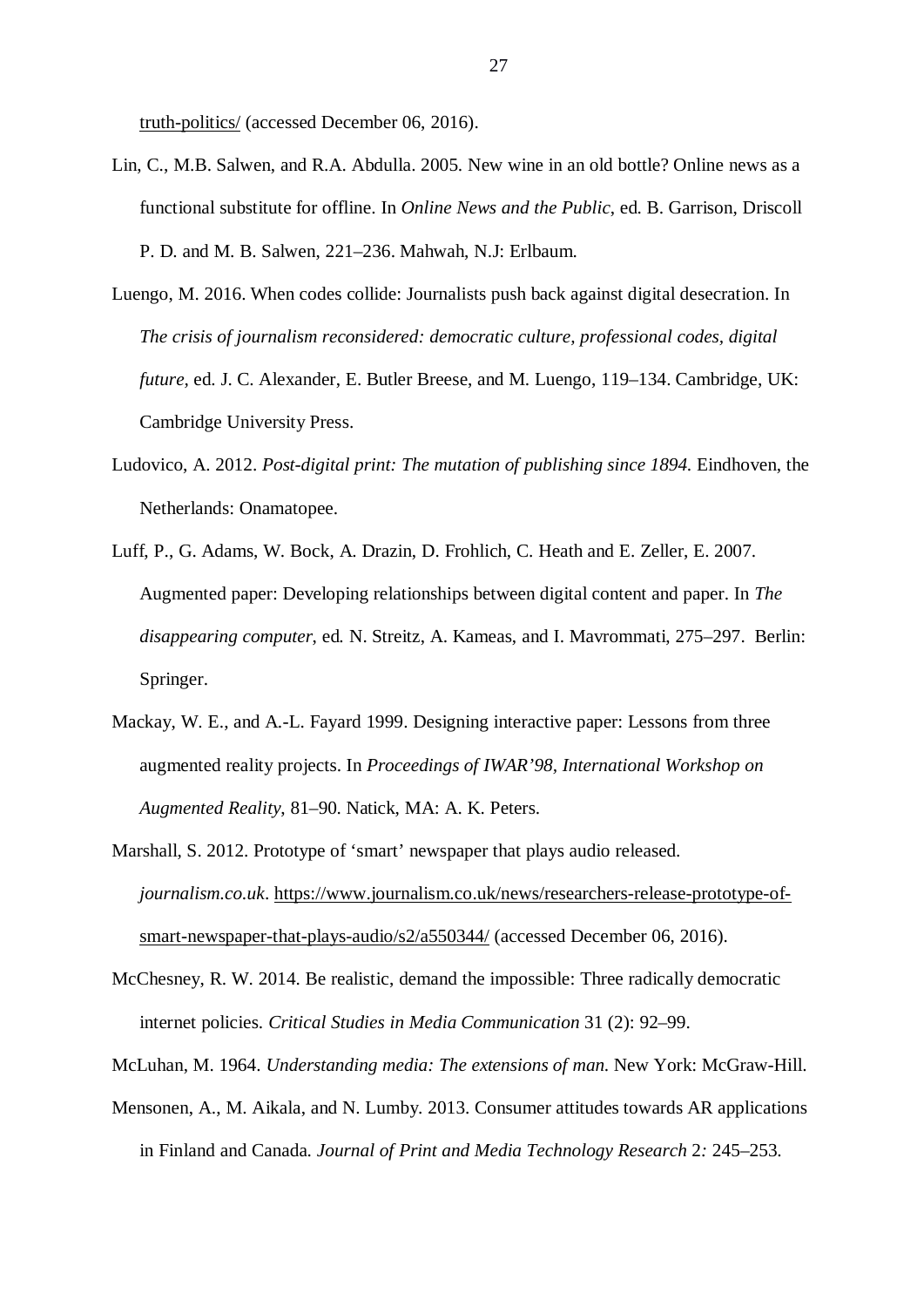truth-politics/ (accessed December 06, 2016).

- Lin, C., M.B. Salwen, and R.A. Abdulla. 2005. New wine in an old bottle? Online news as a functional substitute for offline. In *Online News and the Public*, ed. B. Garrison, Driscoll P. D. and M. B. Salwen, 221–236. Mahwah, N.J: Erlbaum.
- Luengo, M. 2016. When codes collide: Journalists push back against digital desecration. In *The crisis of journalism reconsidered: democratic culture, professional codes, digital future,* ed. J. C. Alexander, E. Butler Breese, and M. Luengo, 119–134. Cambridge, UK: Cambridge University Press.
- Ludovico, A. 2012. *Post-digital print: The mutation of publishing since 1894.* Eindhoven, the Netherlands: Onamatopee.
- Luff, P., G. Adams, W. Bock, A. Drazin, D. Frohlich, C. Heath and E. Zeller, E. 2007. Augmented paper: Developing relationships between digital content and paper. In *The disappearing computer*, ed*.* N. Streitz, A. Kameas, and I. Mavrommati, 275–297. Berlin: Springer.
- Mackay, W. E., and A.-L. Fayard 1999. Designing interactive paper: Lessons from three augmented reality projects. In *Proceedings of IWAR'98, International Workshop on Augmented Reality*, 81–90. Natick, MA: A. K. Peters.
- Marshall, S. 2012. Prototype of 'smart' newspaper that plays audio released. *journalism.co.uk*. https://www.journalism.co.uk/news/researchers-release-prototype-ofsmart-newspaper-that-plays-audio/s2/a550344/ (accessed December 06, 2016).
- McChesney, R. W. 2014. Be realistic, demand the impossible: Three radically democratic internet policies. *Critical Studies in Media Communication* 31 (2): 92–99.
- McLuhan, M. 1964. *Understanding media: The extensions of man*. New York: McGraw-Hill.
- Mensonen, A., M. Aikala, and N. Lumby. 2013. Consumer attitudes towards AR applications in Finland and Canada. *Journal of Print and Media Technology Research* 2*:* 245–253.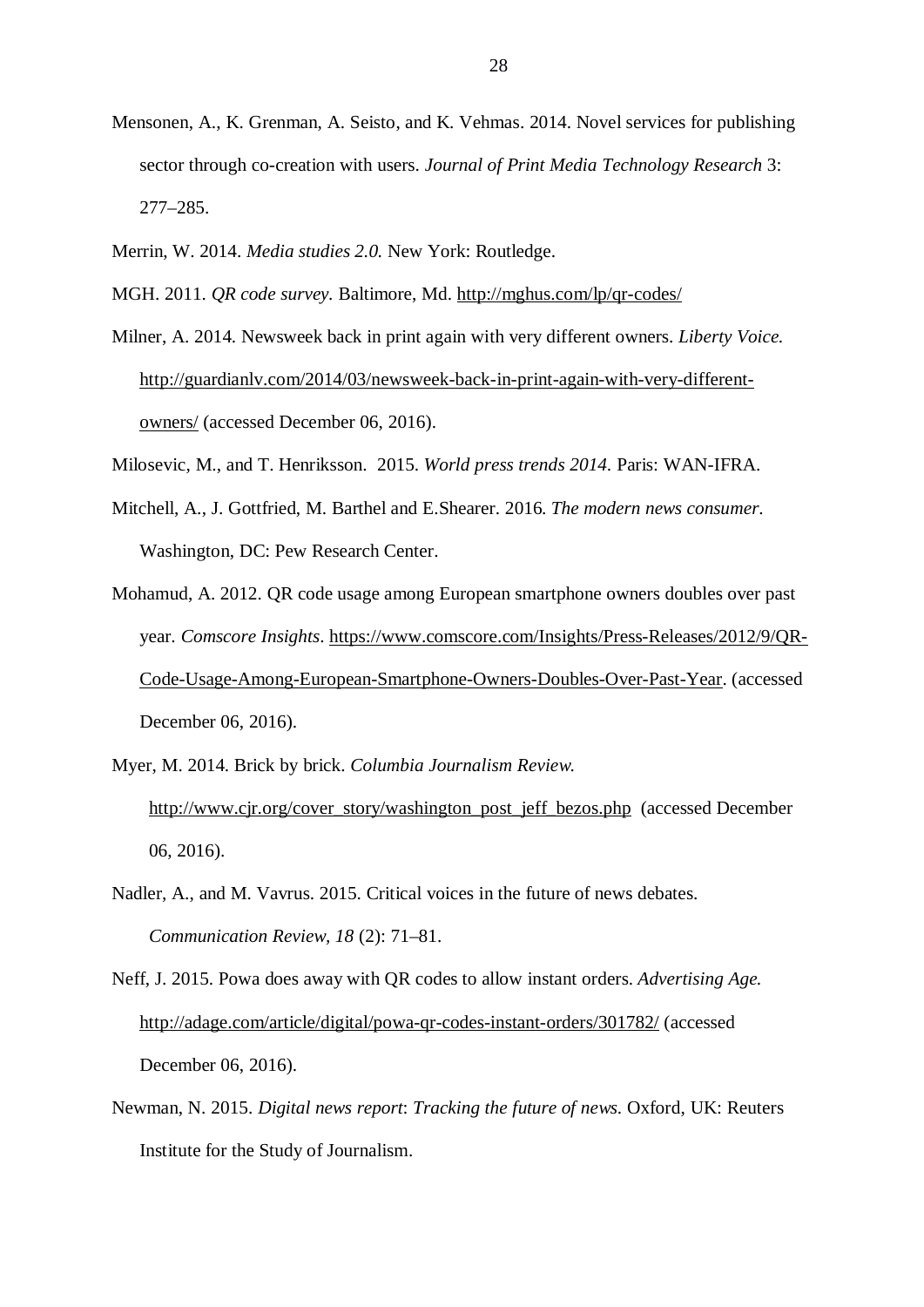- Mensonen, A., K. Grenman, A. Seisto, and K. Vehmas. 2014. Novel services for publishing sector through co-creation with users. *Journal of Print Media Technology Research* 3: 277–285.
- Merrin, W. 2014. *Media studies 2.0.* New York: Routledge.
- MGH. 2011. *QR code survey.* Baltimore, Md. http://mghus.com/lp/qr-codes/
- Milner, A. 2014. Newsweek back in print again with very different owners. *Liberty Voice.* http://guardianlv.com/2014/03/newsweek-back-in-print-again-with-very-differentowners/ (accessed December 06, 2016).
- Milosevic, M., and T. Henriksson. 2015. *World press trends 2014*. Paris: WAN-IFRA.
- Mitchell, A., J. Gottfried, M. Barthel and E.Shearer. 2016. *The modern news consumer*. Washington, DC: Pew Research Center.
- Mohamud, A. 2012. QR code usage among European smartphone owners doubles over past year. *Comscore Insights*. https://www.comscore.com/Insights/Press-Releases/2012/9/QR-Code-Usage-Among-European-Smartphone-Owners-Doubles-Over-Past-Year. (accessed December 06, 2016).
- Myer, M. 2014. Brick by brick. *Columbia Journalism Review.* http://www.cjr.org/cover\_story/washington\_post\_jeff\_bezos.php (accessed December 06, 2016).
- Nadler, A., and M. Vavrus. 2015. Critical voices in the future of news debates. *Communication Review, 18* (2): 71–81.

Neff, J. 2015. Powa does away with QR codes to allow instant orders. *Advertising Age.* http://adage.com/article/digital/powa-qr-codes-instant-orders/301782/ (accessed December 06, 2016).

Newman, N. 2015. *Digital news report*: *Tracking the future of news*. Oxford, UK: Reuters Institute for the Study of Journalism.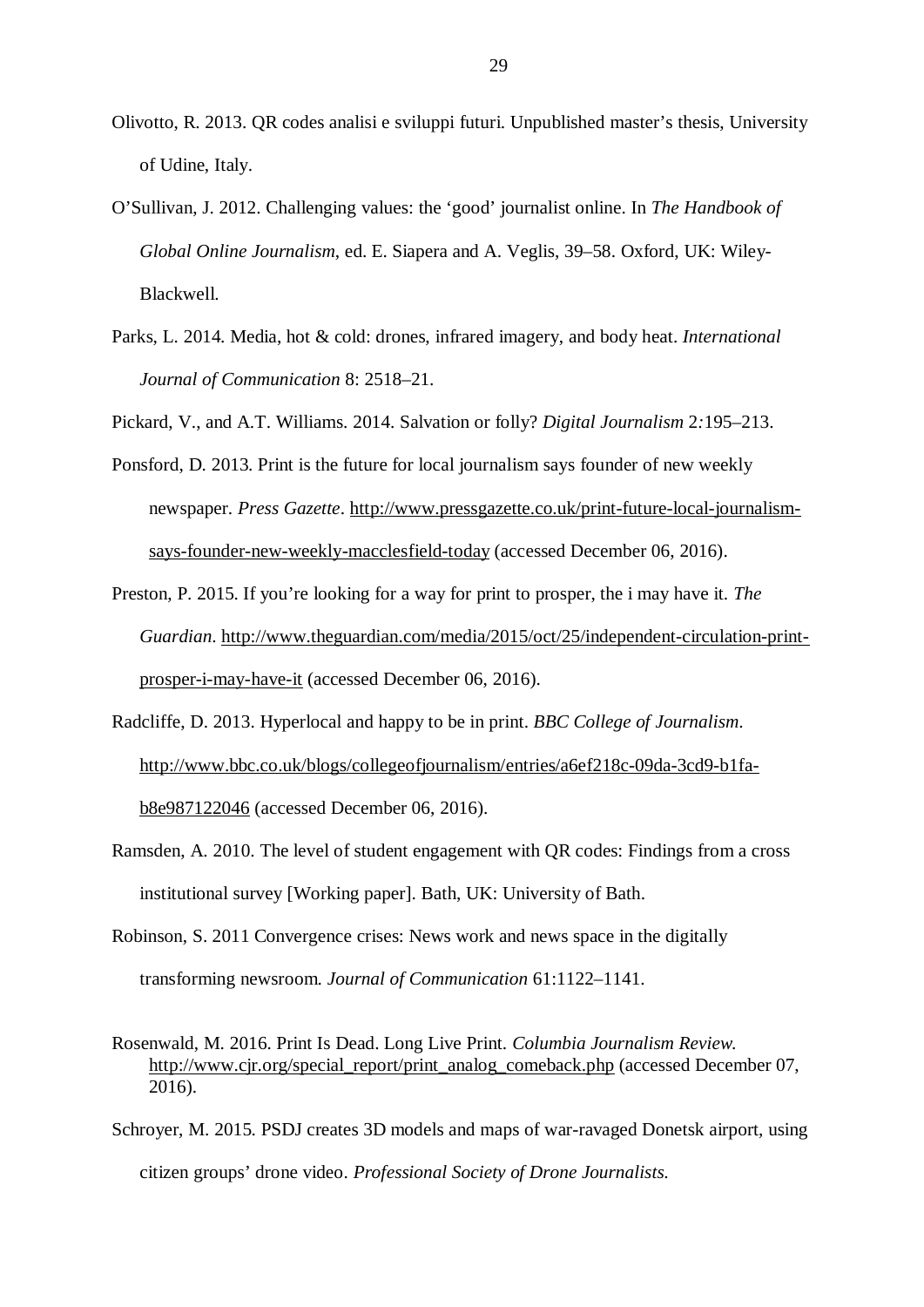- Olivotto, R. 2013. QR codes analisi e sviluppi futuri. Unpublished master's thesis, University of Udine, Italy.
- O'Sullivan, J. 2012. Challenging values: the 'good' journalist online. In *The Handbook of Global Online Journalism*, ed. E. Siapera and A. Veglis, 39–58. Oxford, UK: Wiley-Blackwell.
- Parks, L. 2014. Media, hot & cold: drones, infrared imagery, and body heat. *International Journal of Communication* 8: 2518–21.
- Pickard, V., and A.T. Williams. 2014. Salvation or folly? *Digital Journalism* 2*:*195–213.
- Ponsford, D. 2013. Print is the future for local journalism says founder of new weekly newspaper. *Press Gazette*. http://www.pressgazette.co.uk/print-future-local-journalismsays-founder-new-weekly-macclesfield-today (accessed December 06, 2016).
- Preston, P. 2015. If you're looking for a way for print to prosper, the i may have it. *The Guardian*. http://www.theguardian.com/media/2015/oct/25/independent-circulation-printprosper-i-may-have-it (accessed December 06, 2016).
- Radcliffe, D. 2013. Hyperlocal and happy to be in print. *BBC College of Journalism*. http://www.bbc.co.uk/blogs/collegeofjournalism/entries/a6ef218c-09da-3cd9-b1fab8e987122046 (accessed December 06, 2016).
- Ramsden, A. 2010. The level of student engagement with QR codes: Findings from a cross institutional survey [Working paper]. Bath, UK: University of Bath.
- Robinson, S. 2011 Convergence crises: News work and news space in the digitally transforming newsroom. *Journal of Communication* 61:1122–1141.
- Rosenwald, M. 2016. Print Is Dead. Long Live Print. *Columbia Journalism Review*. http://www.cjr.org/special\_report/print\_analog\_comeback.php (accessed December 07, 2016).
- Schroyer, M. 2015. PSDJ creates 3D models and maps of war-ravaged Donetsk airport, using citizen groups' drone video. *Professional Society of Drone Journalists*.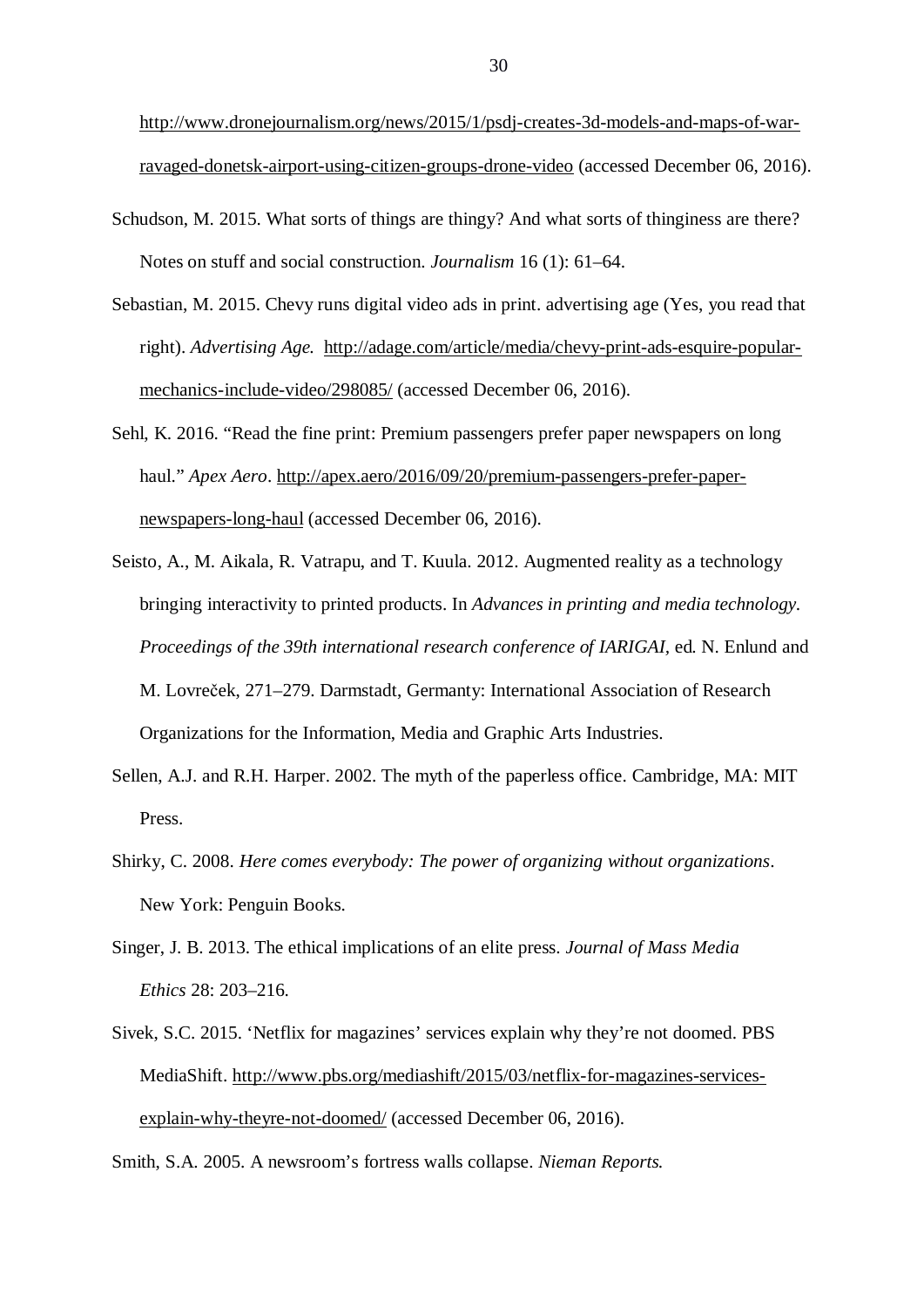http://www.dronejournalism.org/news/2015/1/psdj-creates-3d-models-and-maps-of-warravaged-donetsk-airport-using-citizen-groups-drone-video (accessed December 06, 2016).

- Schudson, M. 2015. What sorts of things are thingy? And what sorts of thinginess are there? Notes on stuff and social construction. *Journalism* 16 (1): 61–64.
- Sebastian, M. 2015. Chevy runs digital video ads in print. advertising age (Yes, you read that right). *Advertising Age.* http://adage.com/article/media/chevy-print-ads-esquire-popularmechanics-include-video/298085/ (accessed December 06, 2016).
- Sehl, K. 2016. "Read the fine print: Premium passengers prefer paper newspapers on long haul." *Apex Aero*. http://apex.aero/2016/09/20/premium-passengers-prefer-papernewspapers-long-haul (accessed December 06, 2016).
- Seisto, A., M. Aikala, R. Vatrapu, and T. Kuula. 2012. Augmented reality as a technology bringing interactivity to printed products. In *Advances in printing and media technology. Proceedings of the 39th international research conference of IARIGAI,* ed. N. Enlund and M. Lovreček, 271–279. Darmstadt, Germanty: International Association of Research Organizations for the Information, Media and Graphic Arts Industries.
- Sellen, A.J. and R.H. Harper. 2002. The myth of the paperless office. Cambridge, MA: MIT Press.
- Shirky, C. 2008. *Here comes everybody: The power of organizing without organizations*. New York: Penguin Books.
- Singer, J. B. 2013. The ethical implications of an elite press. *Journal of Mass Media Ethics* 28: 203–216.
- Sivek, S.C. 2015. 'Netflix for magazines' services explain why they're not doomed. PBS MediaShift. http://www.pbs.org/mediashift/2015/03/netflix-for-magazines-servicesexplain-why-theyre-not-doomed/ (accessed December 06, 2016).

Smith, S.A. 2005. A newsroom's fortress walls collapse. *Nieman Reports.*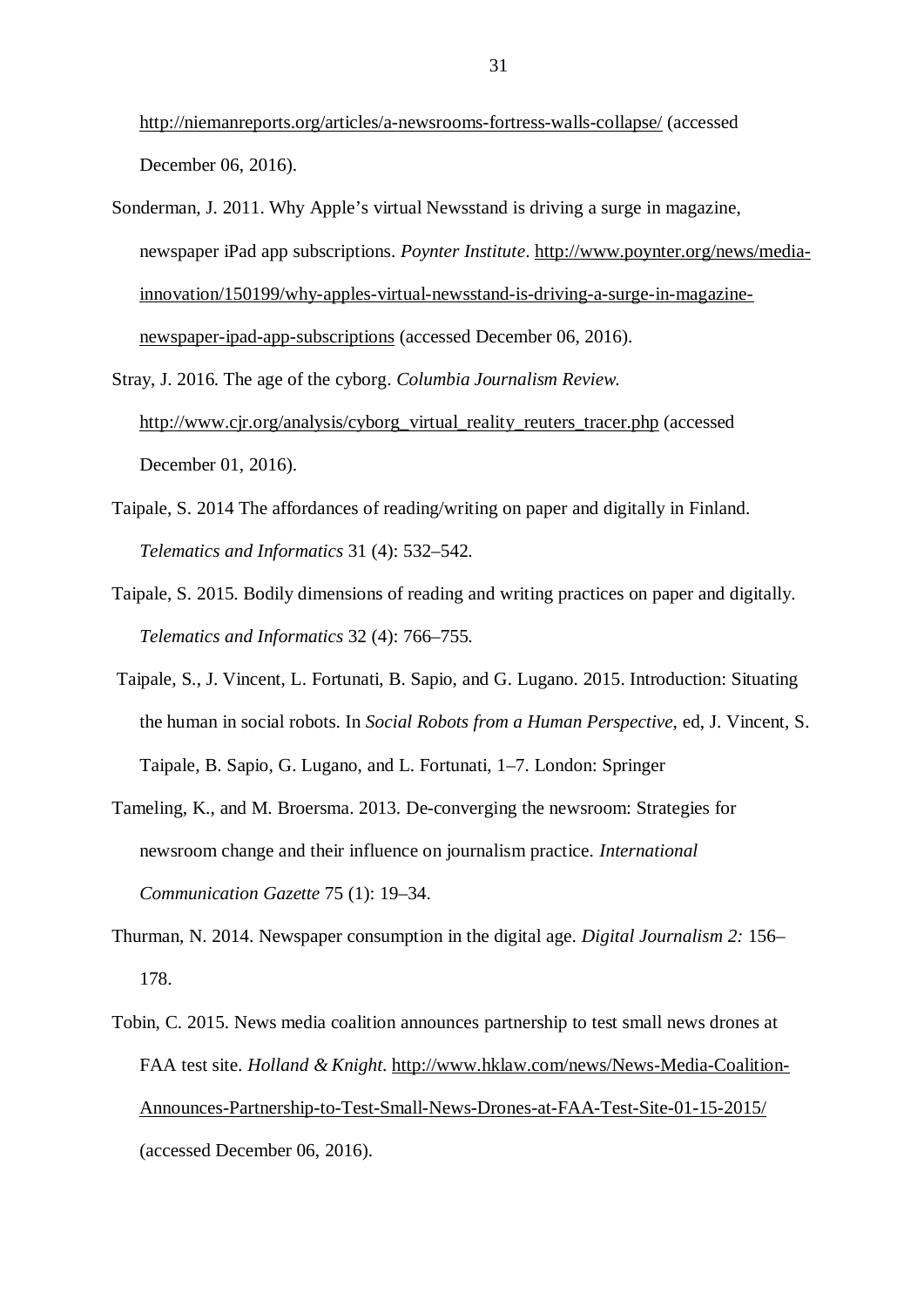http://niemanreports.org/articles/a-newsrooms-fortress-walls-collapse/ (accessed December 06, 2016).

Sonderman, J. 2011. Why Apple's virtual Newsstand is driving a surge in magazine, newspaper iPad app subscriptions. *Poynter Institute*. http://www.poynter.org/news/mediainnovation/150199/why-apples-virtual-newsstand-is-driving-a-surge-in-magazinenewspaper-ipad-app-subscriptions (accessed December 06, 2016).

Stray, J. 2016. The age of the cyborg. *Columbia Journalism Review.* http://www.cjr.org/analysis/cyborg\_virtual\_reality\_reuters\_tracer.php (accessed December 01, 2016).

- Taipale, S. 2014 The affordances of reading/writing on paper and digitally in Finland. *Telematics and Informatics* 31 (4): 532–542.
- Taipale, S. 2015. Bodily dimensions of reading and writing practices on paper and digitally. *Telematics and Informatics* 32 (4): 766–755.
- Taipale, S., J. Vincent, L. Fortunati, B. Sapio, and G. Lugano. 2015. Introduction: Situating the human in social robots. In *Social Robots from a Human Perspective*, ed, J. Vincent, S. Taipale, B. Sapio, G. Lugano, and L. Fortunati, 1–7. London: Springer
- Tameling, K., and M. Broersma. 2013. De-converging the newsroom: Strategies for newsroom change and their influence on journalism practice. *International Communication Gazette* 75 (1): 19–34.
- Thurman, N. 2014. Newspaper consumption in the digital age. *Digital Journalism 2:* 156– 178.
- Tobin, C. 2015. News media coalition announces partnership to test small news drones at FAA test site. *Holland & Knight*. http://www.hklaw.com/news/News-Media-Coalition-Announces-Partnership-to-Test-Small-News-Drones-at-FAA-Test-Site-01-15-2015/ (accessed December 06, 2016).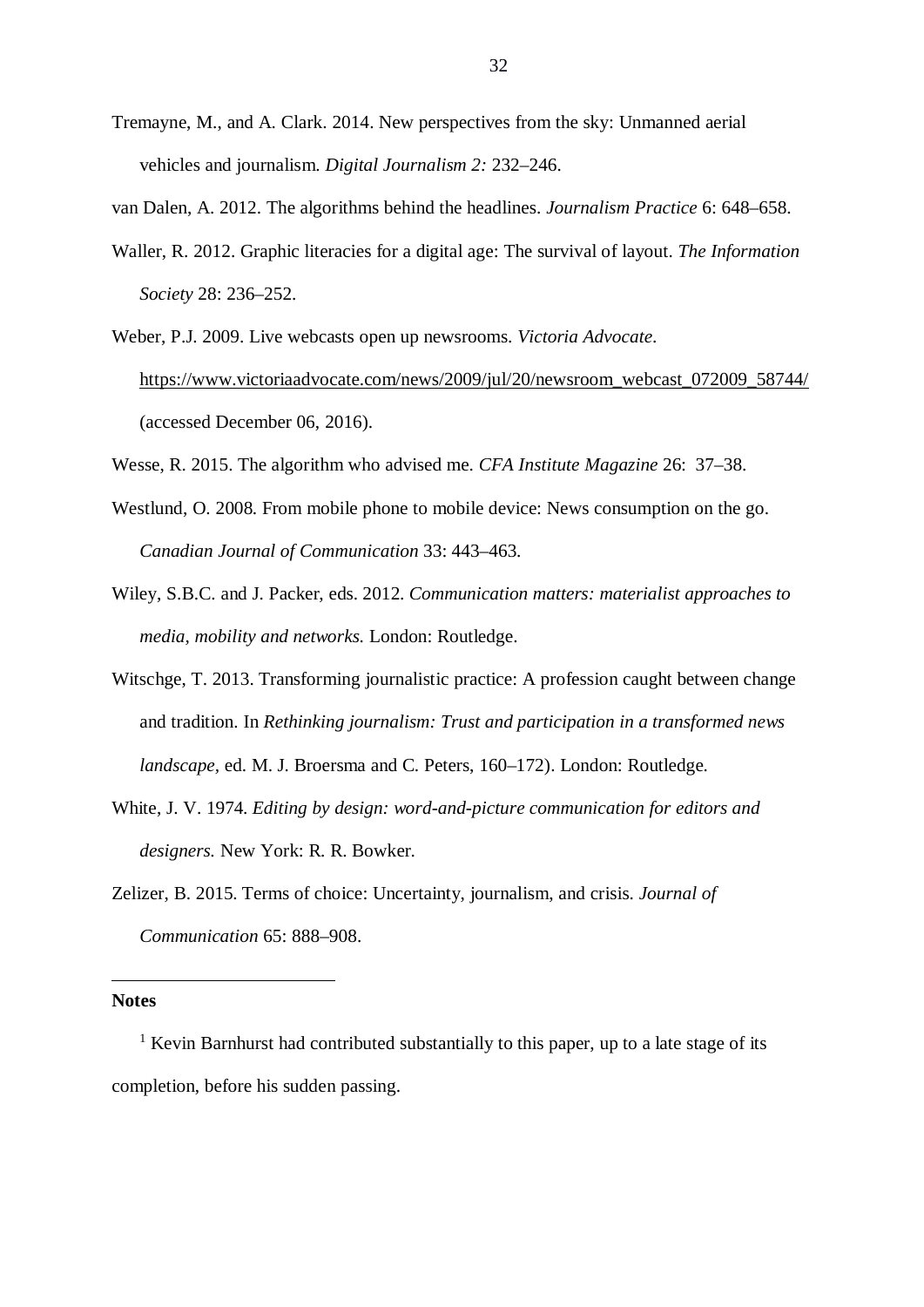Tremayne, M., and A. Clark. 2014. New perspectives from the sky: Unmanned aerial vehicles and journalism. *Digital Journalism 2:* 232–246.

van Dalen, A. 2012. The algorithms behind the headlines. *Journalism Practice* 6: 648–658.

- Waller, R. 2012. Graphic literacies for a digital age: The survival of layout. *The Information Society* 28: 236–252.
- Weber, P.J. 2009. Live webcasts open up newsrooms. *Victoria Advocate*. https://www.victoriaadvocate.com/news/2009/jul/20/newsroom\_webcast\_072009\_58744/ (accessed December 06, 2016).
- Wesse, R. 2015. The algorithm who advised me. *CFA Institute Magazine* 26: 37–38.
- Westlund, O. 2008. From mobile phone to mobile device: News consumption on the go. *Canadian Journal of Communication* 33: 443–463.
- Wiley, S.B.C. and J. Packer, eds. 2012. *Communication matters: materialist approaches to media, mobility and networks.* London: Routledge.
- Witschge, T. 2013. Transforming journalistic practice: A profession caught between change and tradition. In *Rethinking journalism: Trust and participation in a transformed news landscape,* ed. M. J. Broersma and C. Peters, 160–172). London: Routledge.
- White, J. V. 1974. *Editing by design: word-and-picture communication for editors and designers.* New York: R. R. Bowker.
- Zelizer, B. 2015. Terms of choice: Uncertainty, journalism, and crisis. *Journal of Communication* 65: 888–908.

## **Notes**

<sup>1</sup> Kevin Barnhurst had contributed substantially to this paper, up to a late stage of its completion, before his sudden passing.